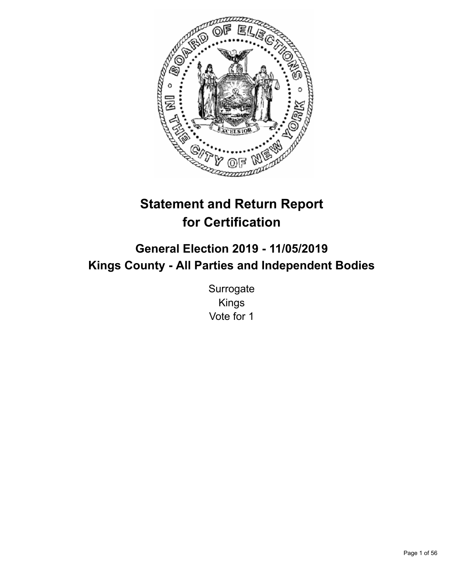

# **Statement and Return Report for Certification**

## **General Election 2019 - 11/05/2019 Kings County - All Parties and Independent Bodies**

**Surrogate** Kings Vote for 1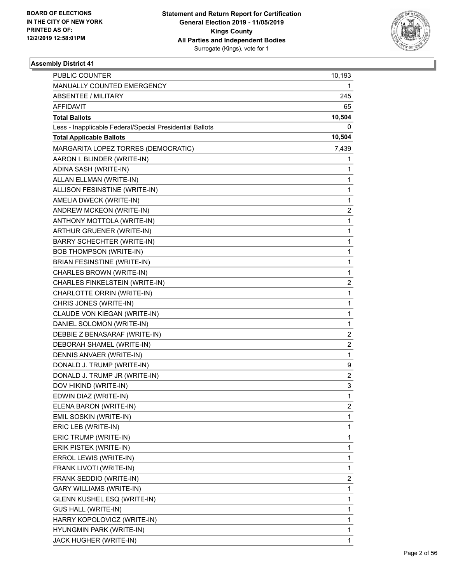

|                                                          | 1                       |
|----------------------------------------------------------|-------------------------|
| MANUALLY COUNTED EMERGENCY                               |                         |
| <b>ABSENTEE / MILITARY</b>                               | 245                     |
| AFFIDAVIT                                                | 65                      |
| <b>Total Ballots</b>                                     | 10,504                  |
| Less - Inapplicable Federal/Special Presidential Ballots | 0                       |
| <b>Total Applicable Ballots</b>                          | 10,504                  |
| MARGARITA LOPEZ TORRES (DEMOCRATIC)                      | 7,439                   |
| AARON I. BLINDER (WRITE-IN)                              | 1                       |
| ADINA SASH (WRITE-IN)                                    | 1                       |
| ALLAN ELLMAN (WRITE-IN)                                  | 1                       |
| ALLISON FESINSTINE (WRITE-IN)                            | 1                       |
| AMELIA DWECK (WRITE-IN)                                  | 1                       |
| ANDREW MCKEON (WRITE-IN)                                 | 2                       |
| ANTHONY MOTTOLA (WRITE-IN)                               | 1                       |
| ARTHUR GRUENER (WRITE-IN)                                | 1                       |
| <b>BARRY SCHECHTER (WRITE-IN)</b>                        | 1                       |
| <b>BOB THOMPSON (WRITE-IN)</b>                           | 1                       |
| BRIAN FESINSTINE (WRITE-IN)                              | 1                       |
| CHARLES BROWN (WRITE-IN)                                 | 1                       |
| CHARLES FINKELSTEIN (WRITE-IN)                           | $\overline{\mathbf{c}}$ |
| CHARLOTTE ORRIN (WRITE-IN)                               | 1                       |
| CHRIS JONES (WRITE-IN)                                   | 1                       |
| CLAUDE VON KIEGAN (WRITE-IN)                             | 1                       |
| DANIEL SOLOMON (WRITE-IN)                                | 1                       |
| DEBBIE Z BENASARAF (WRITE-IN)                            | 2                       |
| DEBORAH SHAMEL (WRITE-IN)                                | $\overline{\mathbf{c}}$ |
| DENNIS ANVAER (WRITE-IN)                                 | 1                       |
| DONALD J. TRUMP (WRITE-IN)                               | 9                       |
| DONALD J. TRUMP JR (WRITE-IN)                            | $\overline{c}$          |
| DOV HIKIND (WRITE-IN)                                    | 3                       |
| EDWIN DIAZ (WRITE-IN)                                    | 1                       |
| ELENA BARON (WRITE-IN)                                   | $\overline{c}$          |
| EMIL SOSKIN (WRITE-IN)                                   | 1                       |
| ERIC LEB (WRITE-IN)                                      | 1                       |
| ERIC TRUMP (WRITE-IN)                                    | 1                       |
| ERIK PISTEK (WRITE-IN)                                   | 1                       |
| ERROL LEWIS (WRITE-IN)                                   | 1                       |
| FRANK LIVOTI (WRITE-IN)                                  | 1                       |
| FRANK SEDDIO (WRITE-IN)                                  | 2                       |
| GARY WILLIAMS (WRITE-IN)                                 | 1                       |
| GLENN KUSHEL ESQ (WRITE-IN)                              | 1                       |
| <b>GUS HALL (WRITE-IN)</b>                               | 1                       |
| HARRY KOPOLOVICZ (WRITE-IN)                              | 1                       |
| HYUNGMIN PARK (WRITE-IN)                                 | 1                       |
| JACK HUGHER (WRITE-IN)                                   | 1                       |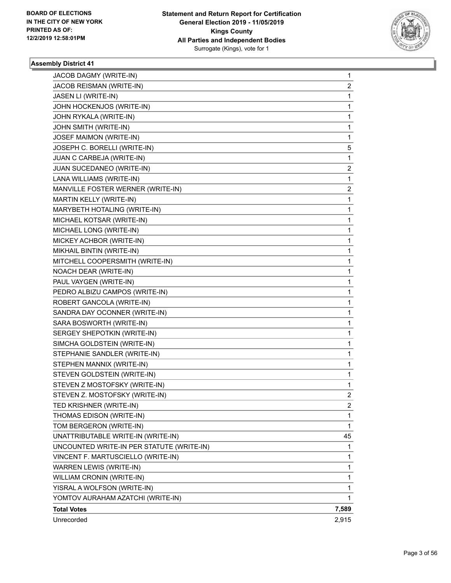

| JACOB DAGMY (WRITE-IN)<br>JACOB REISMAN (WRITE-IN) | 1              |
|----------------------------------------------------|----------------|
|                                                    | $\overline{a}$ |
| JASEN LI (WRITE-IN)                                | $\mathbf 1$    |
| JOHN HOCKENJOS (WRITE-IN)                          | 1              |
| JOHN RYKALA (WRITE-IN)                             | 1              |
| JOHN SMITH (WRITE-IN)                              | 1              |
| JOSEF MAIMON (WRITE-IN)                            | 1              |
| JOSEPH C. BORELLI (WRITE-IN)                       | 5              |
| JUAN C CARBEJA (WRITE-IN)                          | $\mathbf 1$    |
| JUAN SUCEDANEO (WRITE-IN)                          | 2              |
| LANA WILLIAMS (WRITE-IN)                           | 1              |
| MANVILLE FOSTER WERNER (WRITE-IN)                  | 2              |
| MARTIN KELLY (WRITE-IN)                            | 1              |
| MARYBETH HOTALING (WRITE-IN)                       | 1              |
| MICHAEL KOTSAR (WRITE-IN)                          | $\mathbf{1}$   |
| MICHAEL LONG (WRITE-IN)                            | 1              |
| MICKEY ACHBOR (WRITE-IN)                           | 1              |
| MIKHAIL BINTIN (WRITE-IN)                          | 1              |
| MITCHELL COOPERSMITH (WRITE-IN)                    | 1              |
| NOACH DEAR (WRITE-IN)                              | 1              |
| PAUL VAYGEN (WRITE-IN)                             | $\mathbf{1}$   |
| PEDRO ALBIZU CAMPOS (WRITE-IN)                     | 1              |
| ROBERT GANCOLA (WRITE-IN)                          | 1              |
| SANDRA DAY OCONNER (WRITE-IN)                      | 1              |
| SARA BOSWORTH (WRITE-IN)                           | 1              |
| SERGEY SHEPOTKIN (WRITE-IN)                        | 1              |
| SIMCHA GOLDSTEIN (WRITE-IN)                        | $\mathbf{1}$   |
| STEPHANIE SANDLER (WRITE-IN)                       | 1              |
| STEPHEN MANNIX (WRITE-IN)                          | 1              |
| STEVEN GOLDSTEIN (WRITE-IN)                        | 1              |
| STEVEN Z MOSTOFSKY (WRITE-IN)                      | 1              |
| STEVEN Z. MOSTOFSKY (WRITE-IN)                     | $\overline{2}$ |
| TED KRISHNER (WRITE-IN)                            | 2              |
| THOMAS EDISON (WRITE-IN)                           | 1              |
| TOM BERGERON (WRITE-IN)                            | 1              |
| UNATTRIBUTABLE WRITE-IN (WRITE-IN)                 | 45             |
| UNCOUNTED WRITE-IN PER STATUTE (WRITE-IN)          | 1              |
| VINCENT F. MARTUSCIELLO (WRITE-IN)                 | 1              |
| WARREN LEWIS (WRITE-IN)                            | 1              |
| WILLIAM CRONIN (WRITE-IN)                          | 1              |
| YISRAL A WOLFSON (WRITE-IN)                        | 1              |
| YOMTOV AURAHAM AZATCHI (WRITE-IN)                  | 1              |
| <b>Total Votes</b>                                 | 7,589          |
| Unrecorded                                         | 2,915          |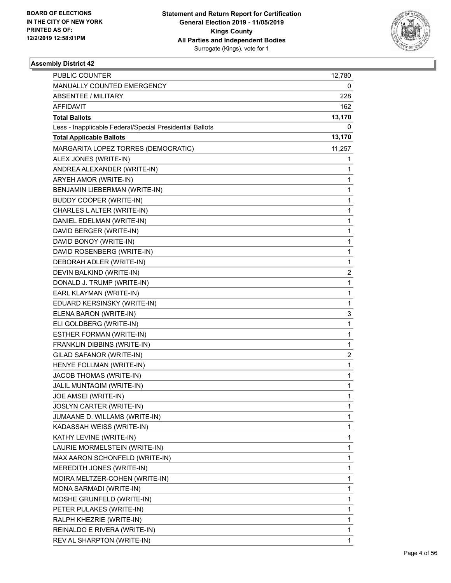

| <b>PUBLIC COUNTER</b>                                    | 12,780 |
|----------------------------------------------------------|--------|
| MANUALLY COUNTED EMERGENCY                               | 0      |
| <b>ABSENTEE / MILITARY</b>                               | 228    |
| <b>AFFIDAVIT</b>                                         | 162    |
| <b>Total Ballots</b>                                     | 13,170 |
| Less - Inapplicable Federal/Special Presidential Ballots | 0      |
| <b>Total Applicable Ballots</b>                          | 13,170 |
| MARGARITA LOPEZ TORRES (DEMOCRATIC)                      | 11,257 |
| ALEX JONES (WRITE-IN)                                    | 1      |
| ANDREA ALEXANDER (WRITE-IN)                              | 1      |
| ARYEH AMOR (WRITE-IN)                                    | 1      |
| BENJAMIN LIEBERMAN (WRITE-IN)                            | 1      |
| <b>BUDDY COOPER (WRITE-IN)</b>                           | 1      |
| CHARLES LALTER (WRITE-IN)                                | 1      |
| DANIEL EDELMAN (WRITE-IN)                                | 1      |
| DAVID BERGER (WRITE-IN)                                  | 1      |
| DAVID BONOY (WRITE-IN)                                   | 1      |
| DAVID ROSENBERG (WRITE-IN)                               | 1      |
| DEBORAH ADLER (WRITE-IN)                                 | 1      |
| DEVIN BALKIND (WRITE-IN)                                 | 2      |
| DONALD J. TRUMP (WRITE-IN)                               | 1      |
| EARL KLAYMAN (WRITE-IN)                                  | 1      |
| EDUARD KERSINSKY (WRITE-IN)                              | 1      |
| ELENA BARON (WRITE-IN)                                   | 3      |
| ELI GOLDBERG (WRITE-IN)                                  | 1      |
| ESTHER FORMAN (WRITE-IN)                                 | 1      |
| FRANKLIN DIBBINS (WRITE-IN)                              | 1      |
| GILAD SAFANOR (WRITE-IN)                                 | 2      |
| HENYE FOLLMAN (WRITE-IN)                                 | 1      |
| JACOB THOMAS (WRITE-IN)                                  | 1      |
| JALIL MUNTAQIM (WRITE-IN)                                | 1      |
| JOE AMSEI (WRITE-IN)                                     | 1      |
| <b>JOSLYN CARTER (WRITE-IN)</b>                          | 1      |
| JUMAANE D. WILLAMS (WRITE-IN)                            | 1      |
| KADASSAH WEISS (WRITE-IN)                                | 1      |
| KATHY LEVINE (WRITE-IN)                                  | 1      |
| LAURIE MORMELSTEIN (WRITE-IN)                            | 1      |
| MAX AARON SCHONFELD (WRITE-IN)                           | 1      |
| MEREDITH JONES (WRITE-IN)                                | 1      |
| MOIRA MELTZER-COHEN (WRITE-IN)                           | 1      |
| MONA SARMADI (WRITE-IN)                                  | 1      |
| MOSHE GRUNFELD (WRITE-IN)                                | 1      |
| PETER PULAKES (WRITE-IN)                                 | 1      |
| RALPH KHEZRIE (WRITE-IN)                                 | 1      |
| REINALDO E RIVERA (WRITE-IN)                             | 1      |
| REV AL SHARPTON (WRITE-IN)                               | 1      |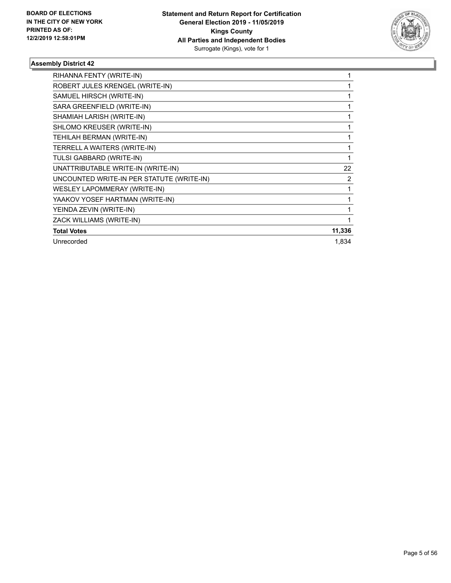

| RIHANNA FENTY (WRITE-IN)                  |                |
|-------------------------------------------|----------------|
| ROBERT JULES KRENGEL (WRITE-IN)           |                |
| SAMUEL HIRSCH (WRITE-IN)                  |                |
| SARA GREENFIELD (WRITE-IN)                |                |
| SHAMIAH LARISH (WRITE-IN)                 |                |
| SHLOMO KREUSER (WRITE-IN)                 |                |
| TEHILAH BERMAN (WRITE-IN)                 |                |
| TERRELL A WAITERS (WRITE-IN)              |                |
| TULSI GABBARD (WRITE-IN)                  | 1              |
| UNATTRIBUTABLE WRITE-IN (WRITE-IN)        | 22             |
| UNCOUNTED WRITE-IN PER STATUTE (WRITE-IN) | $\overline{2}$ |
| <b>WESLEY LAPOMMERAY (WRITE-IN)</b>       | 1              |
| YAAKOV YOSEF HARTMAN (WRITE-IN)           |                |
| YEINDA ZEVIN (WRITE-IN)                   |                |
| ZACK WILLIAMS (WRITE-IN)                  |                |
| <b>Total Votes</b>                        | 11,336         |
| Unrecorded                                | 1,834          |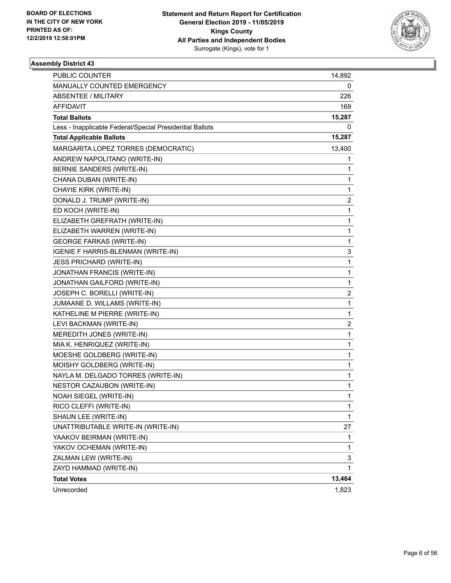

| <b>PUBLIC COUNTER</b>                                    | 14,892                  |
|----------------------------------------------------------|-------------------------|
| MANUALLY COUNTED EMERGENCY                               | 0                       |
| <b>ABSENTEE / MILITARY</b>                               | 226                     |
| AFFIDAVIT                                                | 169                     |
| <b>Total Ballots</b>                                     | 15,287                  |
| Less - Inapplicable Federal/Special Presidential Ballots | 0                       |
| <b>Total Applicable Ballots</b>                          | 15,287                  |
| MARGARITA LOPEZ TORRES (DEMOCRATIC)                      | 13,400                  |
| ANDREW NAPOLITANO (WRITE-IN)                             | 1                       |
| BERNIE SANDERS (WRITE-IN)                                | 1                       |
| CHANA DUBAN (WRITE-IN)                                   | 1                       |
| CHAYIE KIRK (WRITE-IN)                                   | 1                       |
| DONALD J. TRUMP (WRITE-IN)                               | 2                       |
| ED KOCH (WRITE-IN)                                       | 1                       |
| ELIZABETH GREFRATH (WRITE-IN)                            | 1                       |
| ELIZABETH WARREN (WRITE-IN)                              | 1                       |
| <b>GEORGE FARKAS (WRITE-IN)</b>                          | 1                       |
| IGENIE F HARRIS-BLENMAN (WRITE-IN)                       | 3                       |
| <b>JESS PRICHARD (WRITE-IN)</b>                          | 1                       |
| JONATHAN FRANCIS (WRITE-IN)                              | 1                       |
| JONATHAN GAILFORD (WRITE-IN)                             | 1                       |
| JOSEPH C. BORELLI (WRITE-IN)                             | $\overline{\mathbf{c}}$ |
| JUMAANE D. WILLAMS (WRITE-IN)                            | 1                       |
| KATHELINE M PIERRE (WRITE-IN)                            | 1                       |
| LEVI BACKMAN (WRITE-IN)                                  | 2                       |
| MEREDITH JONES (WRITE-IN)                                | 1                       |
| MIA K. HENRIQUEZ (WRITE-IN)                              | 1                       |
| MOESHE GOLDBERG (WRITE-IN)                               | 1                       |
| MOISHY GOLDBERG (WRITE-IN)                               | 1                       |
| NAYLA M. DELGADO TORRES (WRITE-IN)                       | 1                       |
| NESTOR CAZAUBON (WRITE-IN)                               | 1                       |
| NOAH SIEGEL (WRITE-IN)                                   | 1                       |
| RICO CLEFFI (WRITE-IN)                                   | 1                       |
| SHAUN LEE (WRITE-IN)                                     | 1                       |
| UNATTRIBUTABLE WRITE-IN (WRITE-IN)                       | 27                      |
| YAAKOV BEIRMAN (WRITE-IN)                                | 1                       |
| YAKOV OCHEMAN (WRITE-IN)                                 | 1                       |
| ZALMAN LEW (WRITE-IN)                                    | 3                       |
| ZAYD HAMMAD (WRITE-IN)                                   | 1                       |
| <b>Total Votes</b>                                       | 13,464                  |
| Unrecorded                                               | 1,823                   |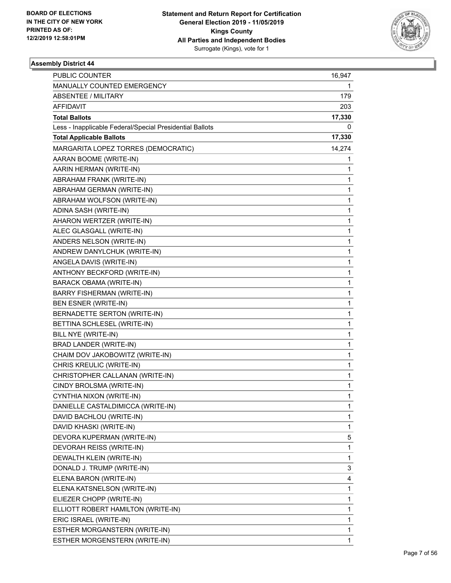

| PUBLIC COUNTER                                           | 16,947 |
|----------------------------------------------------------|--------|
| MANUALLY COUNTED EMERGENCY                               | 1      |
| ABSENTEE / MILITARY                                      | 179    |
| AFFIDAVIT                                                | 203    |
| <b>Total Ballots</b>                                     | 17,330 |
| Less - Inapplicable Federal/Special Presidential Ballots | 0      |
| <b>Total Applicable Ballots</b>                          | 17,330 |
| MARGARITA LOPEZ TORRES (DEMOCRATIC)                      | 14,274 |
| AARAN BOOME (WRITE-IN)                                   | 1      |
| AARIN HERMAN (WRITE-IN)                                  | 1      |
| ABRAHAM FRANK (WRITE-IN)                                 | 1      |
| ABRAHAM GERMAN (WRITE-IN)                                | 1      |
| ABRAHAM WOLFSON (WRITE-IN)                               | 1      |
| ADINA SASH (WRITE-IN)                                    | 1      |
| AHARON WERTZER (WRITE-IN)                                | 1      |
| ALEC GLASGALL (WRITE-IN)                                 | 1      |
| ANDERS NELSON (WRITE-IN)                                 | 1      |
| ANDREW DANYLCHUK (WRITE-IN)                              | 1      |
| ANGELA DAVIS (WRITE-IN)                                  | 1      |
| ANTHONY BECKFORD (WRITE-IN)                              | 1      |
| <b>BARACK OBAMA (WRITE-IN)</b>                           | 1      |
| BARRY FISHERMAN (WRITE-IN)                               | 1      |
| BEN ESNER (WRITE-IN)                                     | 1      |
| BERNADETTE SERTON (WRITE-IN)                             | 1      |
| BETTINA SCHLESEL (WRITE-IN)                              | 1      |
| BILL NYE (WRITE-IN)                                      | 1      |
| <b>BRAD LANDER (WRITE-IN)</b>                            | 1      |
| CHAIM DOV JAKOBOWITZ (WRITE-IN)                          | 1      |
| CHRIS KREULIC (WRITE-IN)                                 | 1      |
| CHRISTOPHER CALLANAN (WRITE-IN)                          | 1      |
| CINDY BROLSMA (WRITE-IN)                                 | 1      |
| CYNTHIA NIXON (WRITE-IN)                                 | 1      |
| DANIELLE CASTALDIMICCA (WRITE-IN)                        | 1      |
| DAVID BACHLOU (WRITE-IN)                                 | 1      |
| DAVID KHASKI (WRITE-IN)                                  | 1      |
| DEVORA KUPERMAN (WRITE-IN)                               | 5      |
| DEVORAH REISS (WRITE-IN)                                 | 1      |
| DEWALTH KLEIN (WRITE-IN)                                 | 1      |
| DONALD J. TRUMP (WRITE-IN)                               | 3      |
| ELENA BARON (WRITE-IN)                                   | 4      |
| ELENA KATSNELSON (WRITE-IN)                              | 1      |
| ELIEZER CHOPP (WRITE-IN)                                 | 1      |
| ELLIOTT ROBERT HAMILTON (WRITE-IN)                       | 1      |
| ERIC ISRAEL (WRITE-IN)                                   | 1      |
| ESTHER MORGANSTERN (WRITE-IN)                            | 1      |
| ESTHER MORGENSTERN (WRITE-IN)                            | 1      |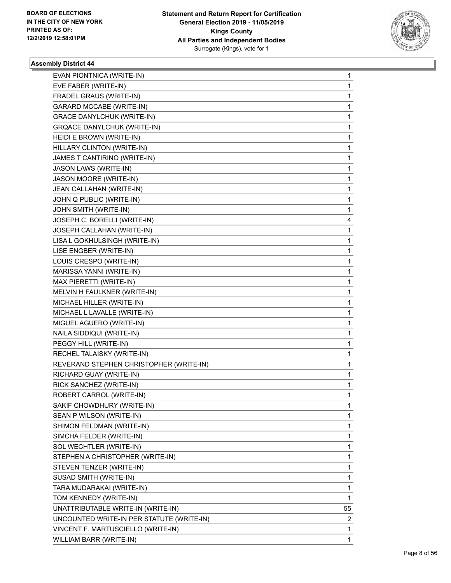

| EVAN PIONTNICA (WRITE-IN)                 | 1            |
|-------------------------------------------|--------------|
| EVE FABER (WRITE-IN)                      | 1            |
| FRADEL GRAUS (WRITE-IN)                   | 1            |
| <b>GARARD MCCABE (WRITE-IN)</b>           | $\mathbf 1$  |
| <b>GRACE DANYLCHUK (WRITE-IN)</b>         | 1            |
| <b>GRQACE DANYLCHUK (WRITE-IN)</b>        | 1            |
| HEIDI E BROWN (WRITE-IN)                  | 1            |
| HILLARY CLINTON (WRITE-IN)                | 1            |
| JAMES T CANTIRINO (WRITE-IN)              | 1            |
| JASON LAWS (WRITE-IN)                     | $\mathbf 1$  |
| JASON MOORE (WRITE-IN)                    | 1            |
| JEAN CALLAHAN (WRITE-IN)                  | 1            |
| JOHN Q PUBLIC (WRITE-IN)                  | 1            |
| JOHN SMITH (WRITE-IN)                     | 1            |
| JOSEPH C. BORELLI (WRITE-IN)              | 4            |
| JOSEPH CALLAHAN (WRITE-IN)                | $\mathbf 1$  |
| LISA L GOKHULSINGH (WRITE-IN)             | 1            |
| LISE ENGBER (WRITE-IN)                    | 1            |
| LOUIS CRESPO (WRITE-IN)                   | 1            |
| MARISSA YANNI (WRITE-IN)                  | 1            |
| MAX PIERETTI (WRITE-IN)                   | 1            |
| MELVIN H FAULKNER (WRITE-IN)              | $\mathbf{1}$ |
| MICHAEL HILLER (WRITE-IN)                 | 1            |
| MICHAEL L LAVALLE (WRITE-IN)              | 1            |
| MIGUEL AGUERO (WRITE-IN)                  | 1            |
| NAILA SIDDIQUI (WRITE-IN)                 | 1            |
| PEGGY HILL (WRITE-IN)                     | 1            |
| RECHEL TALAISKY (WRITE-IN)                | $\mathbf{1}$ |
| REVERAND STEPHEN CHRISTOPHER (WRITE-IN)   | 1            |
| RICHARD GUAY (WRITE-IN)                   | 1            |
| RICK SANCHEZ (WRITE-IN)                   | 1            |
| ROBERT CARROL (WRITE-IN)                  | 1            |
| SAKIF CHOWDHURY (WRITE-IN)                | 1            |
| SEAN P WILSON (WRITE-IN)                  | 1            |
| SHIMON FELDMAN (WRITE-IN)                 | 1            |
| SIMCHA FELDER (WRITE-IN)                  | 1            |
| SOL WECHTLER (WRITE-IN)                   | 1            |
| STEPHEN A CHRISTOPHER (WRITE-IN)          | 1            |
| STEVEN TENZER (WRITE-IN)                  | 1            |
| SUSAD SMITH (WRITE-IN)                    | 1            |
| TARA MUDARAKAI (WRITE-IN)                 | 1            |
| TOM KENNEDY (WRITE-IN)                    | 1            |
| UNATTRIBUTABLE WRITE-IN (WRITE-IN)        | 55           |
| UNCOUNTED WRITE-IN PER STATUTE (WRITE-IN) | 2            |
| VINCENT F. MARTUSCIELLO (WRITE-IN)        | 1            |
| WILLIAM BARR (WRITE-IN)                   | 1            |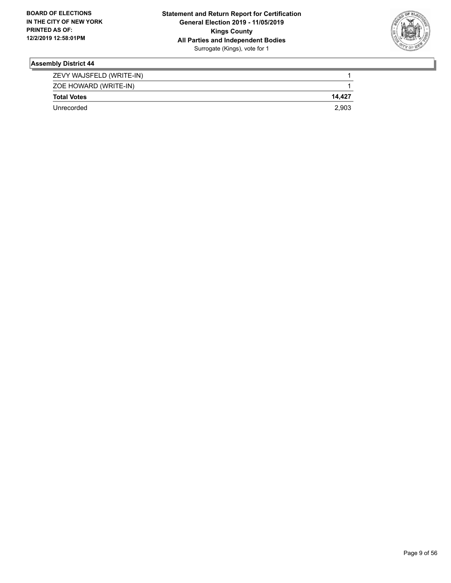

| ZEVY WAJSFELD (WRITE-IN) |        |
|--------------------------|--------|
| ZOE HOWARD (WRITE-IN)    |        |
| <b>Total Votes</b>       | 14.427 |
| Unrecorded               | 2.903  |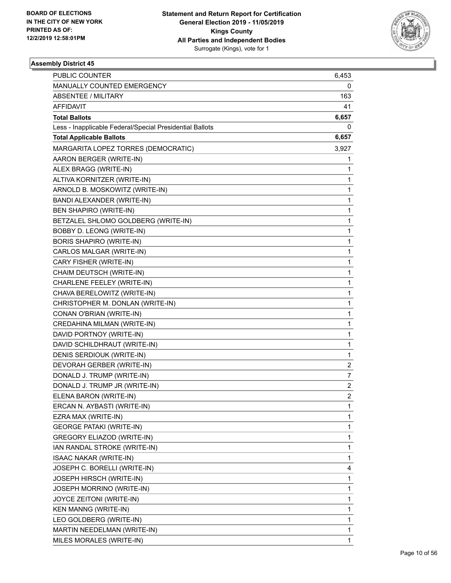

| PUBLIC COUNTER                                           | 6,453          |
|----------------------------------------------------------|----------------|
| MANUALLY COUNTED EMERGENCY                               | 0              |
| ABSENTEE / MILITARY                                      | 163            |
| <b>AFFIDAVIT</b>                                         | 41             |
| <b>Total Ballots</b>                                     | 6,657          |
| Less - Inapplicable Federal/Special Presidential Ballots | 0              |
| <b>Total Applicable Ballots</b>                          | 6,657          |
| MARGARITA LOPEZ TORRES (DEMOCRATIC)                      | 3,927          |
| AARON BERGER (WRITE-IN)                                  | 1              |
| ALEX BRAGG (WRITE-IN)                                    | 1              |
| ALTIVA KORNITZER (WRITE-IN)                              | 1              |
| ARNOLD B. MOSKOWITZ (WRITE-IN)                           | 1              |
| BANDI ALEXANDER (WRITE-IN)                               | 1              |
| BEN SHAPIRO (WRITE-IN)                                   | 1              |
| BETZALEL SHLOMO GOLDBERG (WRITE-IN)                      | 1              |
| BOBBY D. LEONG (WRITE-IN)                                | 1              |
| BORIS SHAPIRO (WRITE-IN)                                 | 1              |
| CARLOS MALGAR (WRITE-IN)                                 | 1              |
| CARY FISHER (WRITE-IN)                                   | 1              |
| CHAIM DEUTSCH (WRITE-IN)                                 | 1              |
| CHARLENE FEELEY (WRITE-IN)                               | 1              |
| CHAVA BERELOWITZ (WRITE-IN)                              | 1              |
| CHRISTOPHER M. DONLAN (WRITE-IN)                         | 1              |
| CONAN O'BRIAN (WRITE-IN)                                 | 1              |
| CREDAHINA MILMAN (WRITE-IN)                              | 1              |
| DAVID PORTNOY (WRITE-IN)                                 | 1              |
| DAVID SCHILDHRAUT (WRITE-IN)                             | 1              |
| DENIS SERDIOUK (WRITE-IN)                                | 1              |
| DEVORAH GERBER (WRITE-IN)                                | 2              |
| DONALD J. TRUMP (WRITE-IN)                               | 7              |
| DONALD J. TRUMP JR (WRITE-IN)                            | $\overline{c}$ |
| ELENA BARON (WRITE-IN)                                   | $\overline{2}$ |
| ERCAN N. AYBASTI (WRITE-IN)                              | 1              |
| EZRA MAX (WRITE-IN)                                      | 1              |
| <b>GEORGE PATAKI (WRITE-IN)</b>                          | 1              |
| <b>GREGORY ELIAZOD (WRITE-IN)</b>                        | 1              |
| IAN RANDAL STROKE (WRITE-IN)                             | 1              |
| <b>ISAAC NAKAR (WRITE-IN)</b>                            | 1              |
| JOSEPH C. BORELLI (WRITE-IN)                             | 4              |
| JOSEPH HIRSCH (WRITE-IN)                                 | 1              |
| JOSEPH MORRINO (WRITE-IN)                                | 1              |
| JOYCE ZEITONI (WRITE-IN)                                 | 1              |
| <b>KEN MANNG (WRITE-IN)</b>                              | 1              |
| LEO GOLDBERG (WRITE-IN)                                  | 1              |
| MARTIN NEEDELMAN (WRITE-IN)                              | 1              |
| MILES MORALES (WRITE-IN)                                 | 1              |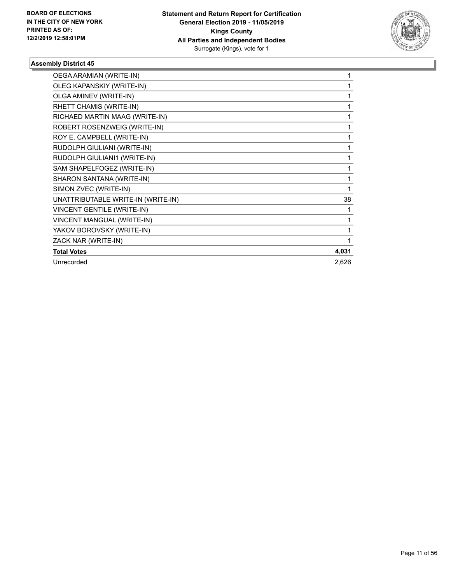

| OEGA ARAMIAN (WRITE-IN)            |       |
|------------------------------------|-------|
| OLEG KAPANSKIY (WRITE-IN)          |       |
| OLGA AMINEV (WRITE-IN)             |       |
| RHETT CHAMIS (WRITE-IN)            |       |
| RICHAED MARTIN MAAG (WRITE-IN)     |       |
| ROBERT ROSENZWEIG (WRITE-IN)       |       |
| ROY E. CAMPBELL (WRITE-IN)         |       |
| RUDOLPH GIULIANI (WRITE-IN)        |       |
| RUDOLPH GIULIANI1 (WRITE-IN)       |       |
| SAM SHAPELFOGEZ (WRITE-IN)         |       |
| SHARON SANTANA (WRITE-IN)          |       |
| SIMON ZVEC (WRITE-IN)              |       |
| UNATTRIBUTABLE WRITE-IN (WRITE-IN) | 38    |
| <b>VINCENT GENTILE (WRITE-IN)</b>  |       |
| VINCENT MANGUAL (WRITE-IN)         |       |
| YAKOV BOROVSKY (WRITE-IN)          |       |
| ZACK NAR (WRITE-IN)                |       |
| <b>Total Votes</b>                 | 4,031 |
| Unrecorded                         | 2,626 |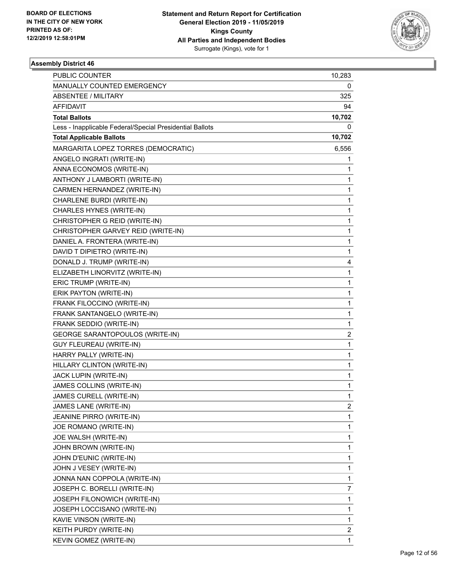

| <b>PUBLIC COUNTER</b>                                    | 10,283                  |
|----------------------------------------------------------|-------------------------|
| MANUALLY COUNTED EMERGENCY                               | 0                       |
| <b>ABSENTEE / MILITARY</b>                               | 325                     |
| <b>AFFIDAVIT</b>                                         | 94                      |
| <b>Total Ballots</b>                                     | 10,702                  |
| Less - Inapplicable Federal/Special Presidential Ballots | 0                       |
| <b>Total Applicable Ballots</b>                          | 10,702                  |
| MARGARITA LOPEZ TORRES (DEMOCRATIC)                      | 6,556                   |
| ANGELO INGRATI (WRITE-IN)                                | 1                       |
| ANNA ECONOMOS (WRITE-IN)                                 | 1                       |
| ANTHONY J LAMBORTI (WRITE-IN)                            | 1                       |
| CARMEN HERNANDEZ (WRITE-IN)                              | 1                       |
| CHARLENE BURDI (WRITE-IN)                                | $\mathbf{1}$            |
| CHARLES HYNES (WRITE-IN)                                 | $\mathbf{1}$            |
| CHRISTOPHER G REID (WRITE-IN)                            | 1                       |
| CHRISTOPHER GARVEY REID (WRITE-IN)                       | 1                       |
| DANIEL A. FRONTERA (WRITE-IN)                            | $\mathbf{1}$            |
| DAVID T DIPIETRO (WRITE-IN)                              | 1                       |
| DONALD J. TRUMP (WRITE-IN)                               | 4                       |
| ELIZABETH LINORVITZ (WRITE-IN)                           | $\mathbf{1}$            |
| ERIC TRUMP (WRITE-IN)                                    | 1                       |
| ERIK PAYTON (WRITE-IN)                                   | 1                       |
| FRANK FILOCCINO (WRITE-IN)                               | $\mathbf{1}$            |
| FRANK SANTANGELO (WRITE-IN)                              | 1                       |
| FRANK SEDDIO (WRITE-IN)                                  | $\mathbf{1}$            |
| GEORGE SARANTOPOULOS (WRITE-IN)                          | $\overline{\mathbf{c}}$ |
| GUY FLEUREAU (WRITE-IN)                                  | 1                       |
| HARRY PALLY (WRITE-IN)                                   | 1                       |
| HILLARY CLINTON (WRITE-IN)                               | $\mathbf{1}$            |
| JACK LUPIN (WRITE-IN)                                    | 1                       |
| JAMES COLLINS (WRITE-IN)                                 | $\mathbf 1$             |
| JAMES CURELL (WRITE-IN)                                  | 1                       |
| JAMES LANE (WRITE-IN)                                    | 2                       |
| JEANINE PIRRO (WRITE-IN)                                 | $\mathbf{1}$            |
| JOE ROMANO (WRITE-IN)                                    | $\mathbf{1}$            |
| JOE WALSH (WRITE-IN)                                     | 1                       |
| JOHN BROWN (WRITE-IN)                                    | $\mathbf 1$             |
| JOHN D'EUNIC (WRITE-IN)                                  | $\mathbf{1}$            |
| JOHN J VESEY (WRITE-IN)                                  | 1                       |
| JONNA NAN COPPOLA (WRITE-IN)                             | $\mathbf{1}$            |
| JOSEPH C. BORELLI (WRITE-IN)                             | 7                       |
| JOSEPH FILONOWICH (WRITE-IN)                             | 1                       |
| JOSEPH LOCCISANO (WRITE-IN)                              | $\mathbf 1$             |
| KAVIE VINSON (WRITE-IN)                                  | $\mathbf{1}$            |
| KEITH PURDY (WRITE-IN)                                   | 2                       |
| KEVIN GOMEZ (WRITE-IN)                                   | 1                       |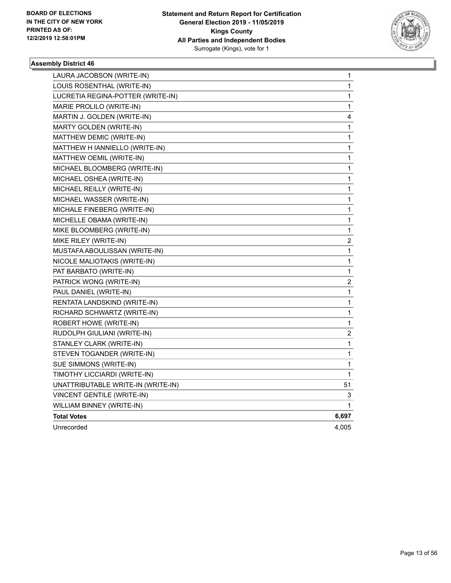

| LAURA JACOBSON (WRITE-IN)          | 1                       |
|------------------------------------|-------------------------|
| LOUIS ROSENTHAL (WRITE-IN)         | 1                       |
| LUCRETIA REGINA-POTTER (WRITE-IN)  | 1                       |
| MARIE PROLILO (WRITE-IN)           | 1                       |
| MARTIN J. GOLDEN (WRITE-IN)        | 4                       |
| MARTY GOLDEN (WRITE-IN)            | 1                       |
| MATTHEW DEMIC (WRITE-IN)           | 1                       |
| MATTHEW H IANNIELLO (WRITE-IN)     | $\mathbf{1}$            |
| MATTHEW OEMIL (WRITE-IN)           | $\mathbf{1}$            |
| MICHAEL BLOOMBERG (WRITE-IN)       | 1                       |
| MICHAEL OSHEA (WRITE-IN)           | 1                       |
| MICHAEL REILLY (WRITE-IN)          | 1                       |
| MICHAEL WASSER (WRITE-IN)          | $\mathbf{1}$            |
| MICHALE FINEBERG (WRITE-IN)        | 1                       |
| MICHELLE OBAMA (WRITE-IN)          | 1                       |
| MIKE BLOOMBERG (WRITE-IN)          | $\mathbf{1}$            |
| MIKE RILEY (WRITE-IN)              | 2                       |
| MUSTAFA ABOULISSAN (WRITE-IN)      | $\mathbf 1$             |
| NICOLE MALIOTAKIS (WRITE-IN)       | 1                       |
| PAT BARBATO (WRITE-IN)             | 1                       |
| PATRICK WONG (WRITE-IN)            | $\overline{\mathbf{c}}$ |
| PAUL DANIEL (WRITE-IN)             | $\mathbf 1$             |
| RENTATA LANDSKIND (WRITE-IN)       | $\mathbf{1}$            |
| RICHARD SCHWARTZ (WRITE-IN)        | 1                       |
| ROBERT HOWE (WRITE-IN)             | 1                       |
| RUDOLPH GIULIANI (WRITE-IN)        | $\overline{\mathbf{c}}$ |
| STANLEY CLARK (WRITE-IN)           | $\mathbf{1}$            |
| STEVEN TOGANDER (WRITE-IN)         | 1                       |
| SUE SIMMONS (WRITE-IN)             | 1                       |
| TIMOTHY LICCIARDI (WRITE-IN)       | 1                       |
| UNATTRIBUTABLE WRITE-IN (WRITE-IN) | 51                      |
| VINCENT GENTILE (WRITE-IN)         | 3                       |
| WILLIAM BINNEY (WRITE-IN)          | 1                       |
| <b>Total Votes</b>                 | 6,697                   |
| Unrecorded                         | 4,005                   |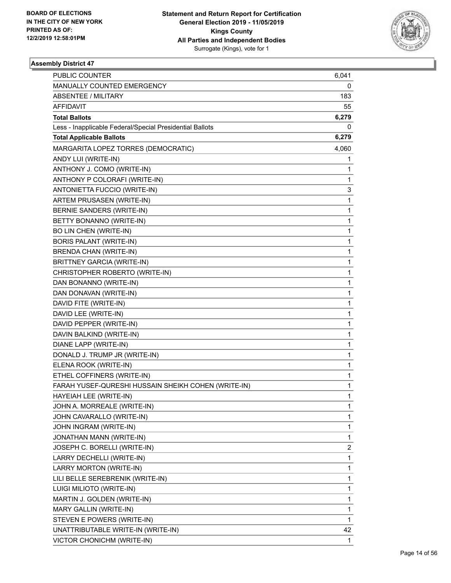

| <b>PUBLIC COUNTER</b>                                    | 6,041          |
|----------------------------------------------------------|----------------|
| MANUALLY COUNTED EMERGENCY                               | 0              |
| ABSENTEE / MILITARY                                      | 183            |
| <b>AFFIDAVIT</b>                                         | 55             |
| <b>Total Ballots</b>                                     | 6,279          |
| Less - Inapplicable Federal/Special Presidential Ballots | 0              |
| <b>Total Applicable Ballots</b>                          | 6,279          |
| MARGARITA LOPEZ TORRES (DEMOCRATIC)                      | 4,060          |
| ANDY LUI (WRITE-IN)                                      | 1              |
| ANTHONY J. COMO (WRITE-IN)                               | 1              |
| ANTHONY P COLORAFI (WRITE-IN)                            | 1              |
| ANTONIETTA FUCCIO (WRITE-IN)                             | 3              |
| ARTEM PRUSASEN (WRITE-IN)                                | 1              |
| BERNIE SANDERS (WRITE-IN)                                | 1              |
| BETTY BONANNO (WRITE-IN)                                 | 1              |
| BO LIN CHEN (WRITE-IN)                                   | 1              |
| <b>BORIS PALANT (WRITE-IN)</b>                           | 1              |
| <b>BRENDA CHAN (WRITE-IN)</b>                            | 1              |
| <b>BRITTNEY GARCIA (WRITE-IN)</b>                        | 1              |
| CHRISTOPHER ROBERTO (WRITE-IN)                           | 1              |
| DAN BONANNO (WRITE-IN)                                   | 1              |
| DAN DONAVAN (WRITE-IN)                                   | 1              |
| DAVID FITE (WRITE-IN)                                    | 1              |
| DAVID LEE (WRITE-IN)                                     | 1              |
| DAVID PEPPER (WRITE-IN)                                  | 1              |
| DAVIN BALKIND (WRITE-IN)                                 | 1              |
| DIANE LAPP (WRITE-IN)                                    | 1              |
| DONALD J. TRUMP JR (WRITE-IN)                            | 1              |
| ELENA ROOK (WRITE-IN)                                    | 1              |
| ETHEL COFFINERS (WRITE-IN)                               | 1              |
| FARAH YUSEF-QURESHI HUSSAIN SHEIKH COHEN (WRITE-IN)      | 1              |
| HAYEIAH LEE (WRITE-IN)                                   | 1              |
| JOHN A. MORREALE (WRITE-IN)                              | 1              |
| JOHN CAVARALLO (WRITE-IN)                                | 1              |
| JOHN INGRAM (WRITE-IN)                                   | 1              |
| JONATHAN MANN (WRITE-IN)                                 | 1              |
| JOSEPH C. BORELLI (WRITE-IN)                             | $\overline{2}$ |
| LARRY DECHELLI (WRITE-IN)                                | 1              |
| LARRY MORTON (WRITE-IN)                                  | 1              |
| LILI BELLE SEREBRENIK (WRITE-IN)                         | 1              |
| LUIGI MILIOTO (WRITE-IN)                                 | 1              |
| MARTIN J. GOLDEN (WRITE-IN)                              | 1              |
| MARY GALLIN (WRITE-IN)                                   | 1              |
| STEVEN E POWERS (WRITE-IN)                               | 1              |
| UNATTRIBUTABLE WRITE-IN (WRITE-IN)                       | 42             |
| VICTOR CHONICHM (WRITE-IN)                               | 1              |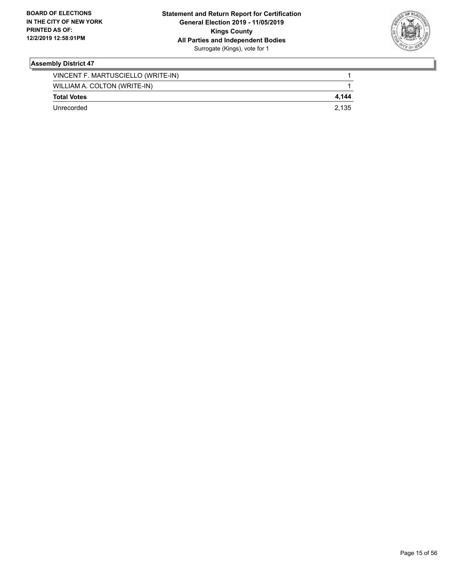

| Unrecorded                         | 2.135 |
|------------------------------------|-------|
| <b>Total Votes</b>                 | 4.144 |
| WILLIAM A. COLTON (WRITE-IN)       |       |
| VINCENT F. MARTUSCIELLO (WRITE-IN) |       |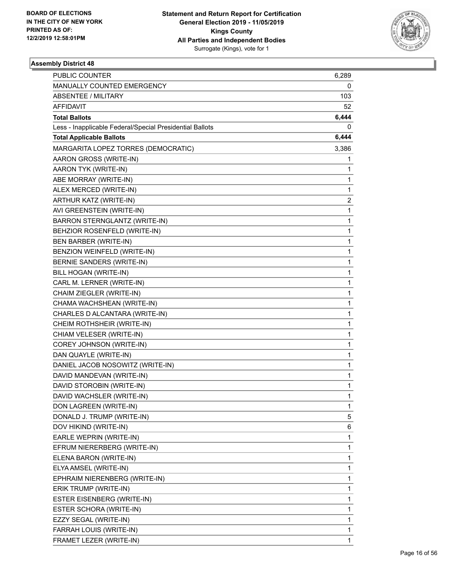

| <b>PUBLIC COUNTER</b>                                    | 6,289        |
|----------------------------------------------------------|--------------|
| MANUALLY COUNTED EMERGENCY                               | 0            |
| ABSENTEE / MILITARY                                      | 103          |
| AFFIDAVIT                                                | 52           |
| <b>Total Ballots</b>                                     | 6,444        |
| Less - Inapplicable Federal/Special Presidential Ballots | 0            |
| <b>Total Applicable Ballots</b>                          | 6,444        |
| MARGARITA LOPEZ TORRES (DEMOCRATIC)                      | 3,386        |
| AARON GROSS (WRITE-IN)                                   | 1            |
| AARON TYK (WRITE-IN)                                     | 1            |
| ABE MORRAY (WRITE-IN)                                    | 1            |
| ALEX MERCED (WRITE-IN)                                   | 1            |
| ARTHUR KATZ (WRITE-IN)                                   | 2            |
| AVI GREENSTEIN (WRITE-IN)                                | 1            |
| BARRON STERNGLANTZ (WRITE-IN)                            | $\mathbf{1}$ |
| BEHZIOR ROSENFELD (WRITE-IN)                             | 1            |
| BEN BARBER (WRITE-IN)                                    | 1            |
| BENZION WEINFELD (WRITE-IN)                              | 1            |
| BERNIE SANDERS (WRITE-IN)                                | 1            |
| BILL HOGAN (WRITE-IN)                                    | 1            |
| CARL M. LERNER (WRITE-IN)                                | $\mathbf{1}$ |
| CHAIM ZIEGLER (WRITE-IN)                                 | 1            |
| CHAMA WACHSHEAN (WRITE-IN)                               | 1            |
| CHARLES D ALCANTARA (WRITE-IN)                           | 1            |
| CHEIM ROTHSHEIR (WRITE-IN)                               | 1            |
| CHIAM VELESER (WRITE-IN)                                 | 1            |
| COREY JOHNSON (WRITE-IN)                                 | $\mathbf{1}$ |
| DAN QUAYLE (WRITE-IN)                                    | 1            |
| DANIEL JACOB NOSOWITZ (WRITE-IN)                         | 1            |
| DAVID MANDEVAN (WRITE-IN)                                | 1            |
| DAVID STOROBIN (WRITE-IN)                                | 1            |
| DAVID WACHSLER (WRITE-IN)                                | 1            |
| DON LAGREEN (WRITE-IN)                                   | 1            |
| DONALD J. TRUMP (WRITE-IN)                               | 5            |
| DOV HIKIND (WRITE-IN)                                    | 6            |
| EARLE WEPRIN (WRITE-IN)                                  | $\mathbf{1}$ |
| EFRUM NIERERBERG (WRITE-IN)                              | 1            |
| ELENA BARON (WRITE-IN)                                   | 1            |
| ELYA AMSEL (WRITE-IN)                                    | 1            |
| EPHRAIM NIERENBERG (WRITE-IN)                            | 1            |
| ERIK TRUMP (WRITE-IN)                                    | 1            |
| ESTER EISENBERG (WRITE-IN)                               | 1            |
| ESTER SCHORA (WRITE-IN)                                  | 1            |
| EZZY SEGAL (WRITE-IN)                                    | 1            |
| FARRAH LOUIS (WRITE-IN)                                  | 1            |
| FRAMET LEZER (WRITE-IN)                                  | 1            |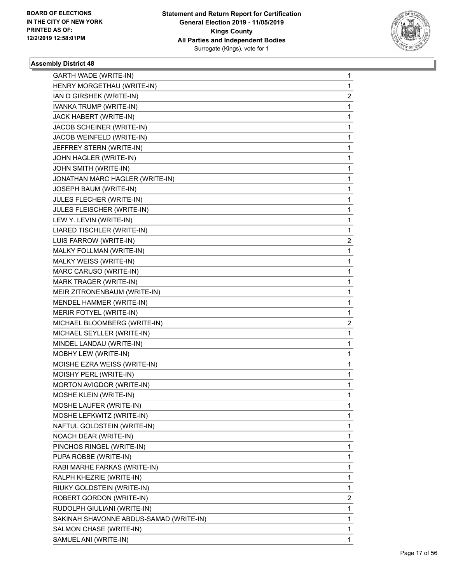

| <b>GARTH WADE (WRITE-IN)</b>            | $\mathbf{1}$ |
|-----------------------------------------|--------------|
| HENRY MORGETHAU (WRITE-IN)              | $\mathbf{1}$ |
| IAN D GIRSHEK (WRITE-IN)                | 2            |
| <b>IVANKA TRUMP (WRITE-IN)</b>          | 1            |
| JACK HABERT (WRITE-IN)                  | $\mathbf 1$  |
| JACOB SCHEINER (WRITE-IN)               | 1            |
| JACOB WEINFELD (WRITE-IN)               | 1            |
| JEFFREY STERN (WRITE-IN)                | 1            |
| JOHN HAGLER (WRITE-IN)                  | 1            |
| JOHN SMITH (WRITE-IN)                   | 1            |
| JONATHAN MARC HAGLER (WRITE-IN)         | 1            |
| JOSEPH BAUM (WRITE-IN)                  | 1            |
| JULES FLECHER (WRITE-IN)                | 1            |
| JULES FLEISCHER (WRITE-IN)              | 1            |
| LEW Y. LEVIN (WRITE-IN)                 | 1            |
| LIARED TISCHLER (WRITE-IN)              | 1            |
| LUIS FARROW (WRITE-IN)                  | 2            |
| MALKY FOLLMAN (WRITE-IN)                | 1            |
| MALKY WEISS (WRITE-IN)                  | 1            |
| MARC CARUSO (WRITE-IN)                  | 1            |
| MARK TRAGER (WRITE-IN)                  | 1            |
| MEIR ZITRONENBAUM (WRITE-IN)            | 1            |
| MENDEL HAMMER (WRITE-IN)                | 1            |
| MERIR FOTYEL (WRITE-IN)                 | 1            |
| MICHAEL BLOOMBERG (WRITE-IN)            | 2            |
| MICHAEL SEYLLER (WRITE-IN)              | 1            |
| MINDEL LANDAU (WRITE-IN)                | 1            |
| MOBHY LEW (WRITE-IN)                    | 1            |
| MOISHE EZRA WEISS (WRITE-IN)            | 1            |
| MOISHY PERL (WRITE-IN)                  | 1            |
| MORTON AVIGDOR (WRITE-IN)               | $\mathbf{1}$ |
| MOSHE KLEIN (WRITE-IN)                  | 1            |
| MOSHE LAUFER (WRITE-IN)                 | $\mathbf{1}$ |
| MOSHE LEFKWITZ (WRITE-IN)               | 1            |
| NAFTUL GOLDSTEIN (WRITE-IN)             | 1            |
| NOACH DEAR (WRITE-IN)                   | 1            |
| PINCHOS RINGEL (WRITE-IN)               | 1            |
| PUPA ROBBE (WRITE-IN)                   | 1            |
| RABI MARHE FARKAS (WRITE-IN)            | 1            |
| RALPH KHEZRIE (WRITE-IN)                | 1            |
| RIUKY GOLDSTEIN (WRITE-IN)              | 1            |
| ROBERT GORDON (WRITE-IN)                | 2            |
| RUDOLPH GIULIANI (WRITE-IN)             | 1            |
| SAKINAH SHAVONNE ABDUS-SAMAD (WRITE-IN) | 1            |
| SALMON CHASE (WRITE-IN)                 | $\mathbf{1}$ |
| SAMUEL ANI (WRITE-IN)                   | 1            |
|                                         |              |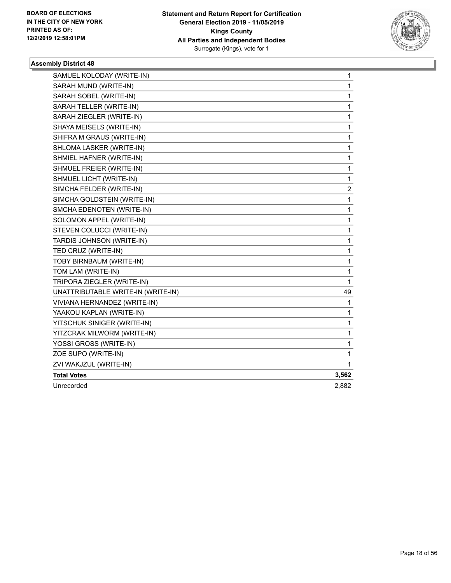

| SAMUEL KOLODAY (WRITE-IN)          | 1     |
|------------------------------------|-------|
| SARAH MUND (WRITE-IN)              | 1     |
| SARAH SOBEL (WRITE-IN)             | 1     |
| SARAH TELLER (WRITE-IN)            | 1     |
| SARAH ZIEGLER (WRITE-IN)           | 1     |
| SHAYA MEISELS (WRITE-IN)           | 1     |
| SHIFRA M GRAUS (WRITE-IN)          | 1     |
| SHLOMA LASKER (WRITE-IN)           | 1     |
| SHMIEL HAFNER (WRITE-IN)           | 1     |
| SHMUEL FREIER (WRITE-IN)           | 1     |
| SHMUEL LICHT (WRITE-IN)            | 1     |
| SIMCHA FELDER (WRITE-IN)           | 2     |
| SIMCHA GOLDSTEIN (WRITE-IN)        | 1     |
| SMCHA EDENOTEN (WRITE-IN)          | 1     |
| SOLOMON APPEL (WRITE-IN)           | 1     |
| STEVEN COLUCCI (WRITE-IN)          | 1     |
| TARDIS JOHNSON (WRITE-IN)          | 1     |
| TED CRUZ (WRITE-IN)                | 1     |
| TOBY BIRNBAUM (WRITE-IN)           | 1     |
| TOM LAM (WRITE-IN)                 | 1     |
| TRIPORA ZIEGLER (WRITE-IN)         | 1     |
| UNATTRIBUTABLE WRITE-IN (WRITE-IN) | 49    |
| VIVIANA HERNANDEZ (WRITE-IN)       | 1     |
| YAAKOU KAPLAN (WRITE-IN)           | 1     |
| YITSCHUK SINIGER (WRITE-IN)        | 1     |
| YITZCRAK MILWORM (WRITE-IN)        | 1     |
| YOSSI GROSS (WRITE-IN)             | 1     |
| ZOE SUPO (WRITE-IN)                | 1     |
| ZVI WAKJZUL (WRITE-IN)             | 1     |
| <b>Total Votes</b>                 | 3,562 |
| Unrecorded                         | 2,882 |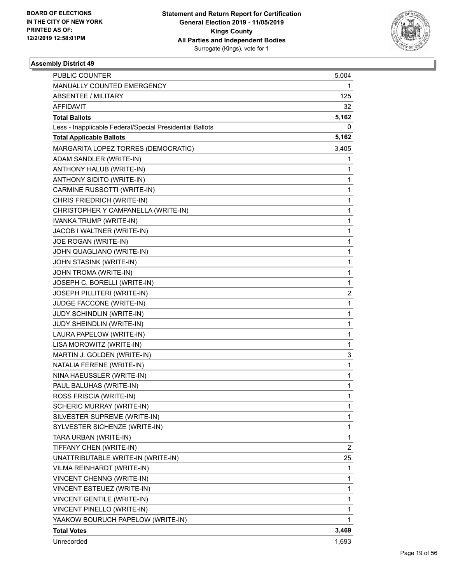

| PUBLIC COUNTER                                           | 5,004                   |
|----------------------------------------------------------|-------------------------|
| MANUALLY COUNTED EMERGENCY                               | 1                       |
| <b>ABSENTEE / MILITARY</b>                               | 125                     |
| AFFIDAVIT                                                | 32                      |
| <b>Total Ballots</b>                                     | 5,162                   |
| Less - Inapplicable Federal/Special Presidential Ballots | 0                       |
| <b>Total Applicable Ballots</b>                          | 5,162                   |
| MARGARITA LOPEZ TORRES (DEMOCRATIC)                      | 3,405                   |
| ADAM SANDLER (WRITE-IN)                                  | 1                       |
| ANTHONY HALUB (WRITE-IN)                                 | 1                       |
| ANTHONY SIDITO (WRITE-IN)                                | $\mathbf{1}$            |
| CARMINE RUSSOTTI (WRITE-IN)                              | 1                       |
| CHRIS FRIEDRICH (WRITE-IN)                               | $\mathbf{1}$            |
| CHRISTOPHER Y CAMPANELLA (WRITE-IN)                      | $\mathbf{1}$            |
| IVANKA TRUMP (WRITE-IN)                                  | $\mathbf{1}$            |
| JACOB I WALTNER (WRITE-IN)                               | $\mathbf{1}$            |
| JOE ROGAN (WRITE-IN)                                     | $\mathbf{1}$            |
| JOHN QUAGLIANO (WRITE-IN)                                | 1                       |
| JOHN STASINK (WRITE-IN)                                  | $\mathbf{1}$            |
| JOHN TROMA (WRITE-IN)                                    | $\mathbf{1}$            |
| JOSEPH C. BORELLI (WRITE-IN)                             | $\mathbf{1}$            |
| JOSEPH PILLITERI (WRITE-IN)                              | 2                       |
| JUDGE FACCONE (WRITE-IN)                                 | $\mathbf{1}$            |
| JUDY SCHINDLIN (WRITE-IN)                                | 1                       |
| JUDY SHEINDLIN (WRITE-IN)                                | $\mathbf{1}$            |
| LAURA PAPELOW (WRITE-IN)                                 | $\mathbf{1}$            |
| LISA MOROWITZ (WRITE-IN)                                 | $\mathbf{1}$            |
| MARTIN J. GOLDEN (WRITE-IN)                              | 3                       |
| NATALIA FERENE (WRITE-IN)                                | $\mathbf{1}$            |
| NINA HAEUSSLER (WRITE-IN)                                | 1                       |
| PAUL BALUHAS (WRITE-IN)                                  | 1                       |
| ROSS FRISCIA (WRITE-IN)                                  | 1                       |
| SCHERIC MURRAY (WRITE-IN)                                | 1                       |
| SILVESTER SUPREME (WRITE-IN)                             | 1                       |
| SYLVESTER SICHENZE (WRITE-IN)                            | $\mathbf{1}$            |
| TARA URBAN (WRITE-IN)                                    | $\mathbf{1}$            |
| TIFFANY CHEN (WRITE-IN)                                  | $\overline{\mathbf{c}}$ |
| UNATTRIBUTABLE WRITE-IN (WRITE-IN)                       | 25                      |
| VILMA REINHARDT (WRITE-IN)                               | 1                       |
| VINCENT CHENNG (WRITE-IN)                                | 1                       |
| VINCENT ESTEUEZ (WRITE-IN)                               | $\mathbf{1}$            |
| VINCENT GENTILE (WRITE-IN)                               | $\mathbf{1}$            |
| VINCENT PINELLO (WRITE-IN)                               | $\mathbf{1}$            |
| YAAKOW BOURUCH PAPELOW (WRITE-IN)                        | 1                       |
| <b>Total Votes</b>                                       | 3,469                   |
| Unrecorded                                               | 1,693                   |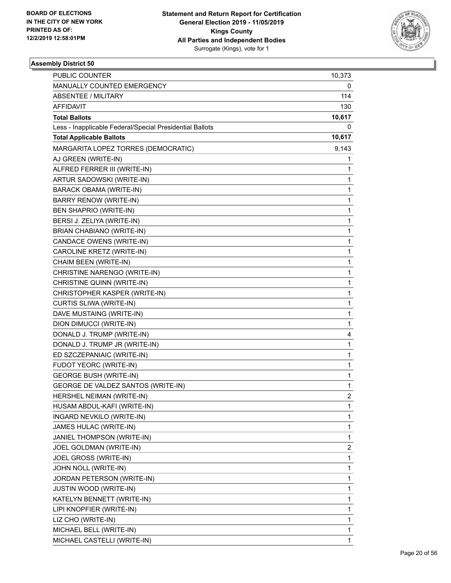

| PUBLIC COUNTER                                           | 10,373                  |
|----------------------------------------------------------|-------------------------|
| MANUALLY COUNTED EMERGENCY                               | 0                       |
| <b>ABSENTEE / MILITARY</b>                               | 114                     |
| <b>AFFIDAVIT</b>                                         | 130                     |
| <b>Total Ballots</b>                                     | 10,617                  |
| Less - Inapplicable Federal/Special Presidential Ballots | 0                       |
| <b>Total Applicable Ballots</b>                          | 10,617                  |
| MARGARITA LOPEZ TORRES (DEMOCRATIC)                      | 9,143                   |
| AJ GREEN (WRITE-IN)                                      | 1                       |
| ALFRED FERRER III (WRITE-IN)                             | 1                       |
| ARTUR SADOWSKI (WRITE-IN)                                | 1                       |
| <b>BARACK OBAMA (WRITE-IN)</b>                           | 1                       |
| BARRY RENOW (WRITE-IN)                                   | 1                       |
| BEN SHAPRIO (WRITE-IN)                                   | 1                       |
| BERSI J. ZELIYA (WRITE-IN)                               | 1                       |
| <b>BRIAN CHABIANO (WRITE-IN)</b>                         | 1                       |
| CANDACE OWENS (WRITE-IN)                                 | 1                       |
| CAROLINE KRETZ (WRITE-IN)                                | 1                       |
| CHAIM BEEN (WRITE-IN)                                    | 1                       |
| CHRISTINE NARENGO (WRITE-IN)                             | 1                       |
| CHRISTINE QUINN (WRITE-IN)                               | 1                       |
| CHRISTOPHER KASPER (WRITE-IN)                            | 1                       |
| CURTIS SLIWA (WRITE-IN)                                  | 1                       |
| DAVE MUSTAING (WRITE-IN)                                 | 1                       |
| DION DIMUCCI (WRITE-IN)                                  | 1                       |
| DONALD J. TRUMP (WRITE-IN)                               | 4                       |
| DONALD J. TRUMP JR (WRITE-IN)                            | 1                       |
| ED SZCZEPANIAIC (WRITE-IN)                               | 1                       |
| FUDOT YEORC (WRITE-IN)                                   | 1                       |
| <b>GEORGE BUSH (WRITE-IN)</b>                            | 1                       |
| GEORGE DE VALDEZ SANTOS (WRITE-IN)                       | 1                       |
| HERSHEL NEIMAN (WRITE-IN)                                | $\overline{2}$          |
| HUSAM ABDUL-KAFI (WRITE-IN)                              | 1                       |
| INGARD NEVKILO (WRITE-IN)                                | 1                       |
| JAMES HULAC (WRITE-IN)                                   | 1                       |
| JANIEL THOMPSON (WRITE-IN)                               | 1                       |
| JOEL GOLDMAN (WRITE-IN)                                  | $\overline{\mathbf{c}}$ |
| JOEL GROSS (WRITE-IN)                                    | 1                       |
| JOHN NOLL (WRITE-IN)                                     | 1                       |
| JORDAN PETERSON (WRITE-IN)                               | 1                       |
| <b>JUSTIN WOOD (WRITE-IN)</b>                            | 1                       |
| KATELYN BENNETT (WRITE-IN)                               | 1                       |
| LIPI KNOPFIER (WRITE-IN)                                 | 1                       |
| LIZ CHO (WRITE-IN)                                       | 1                       |
| MICHAEL BELL (WRITE-IN)                                  | 1                       |
| MICHAEL CASTELLI (WRITE-IN)                              | 1                       |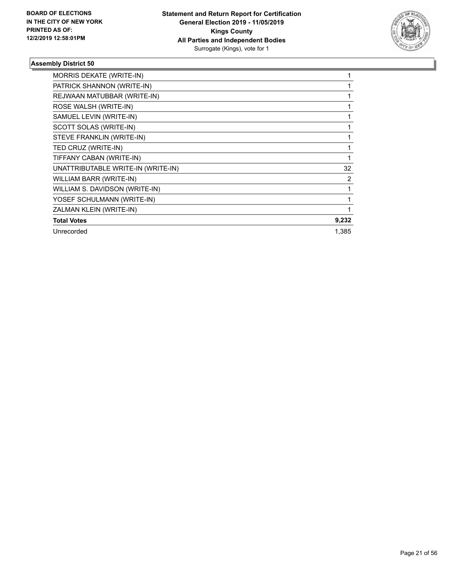

| MORRIS DEKATE (WRITE-IN)           |       |
|------------------------------------|-------|
| PATRICK SHANNON (WRITE-IN)         |       |
| REJWAAN MATUBBAR (WRITE-IN)        |       |
| ROSE WALSH (WRITE-IN)              |       |
| SAMUEL LEVIN (WRITE-IN)            |       |
| SCOTT SOLAS (WRITE-IN)             |       |
| STEVE FRANKLIN (WRITE-IN)          |       |
| TED CRUZ (WRITE-IN)                |       |
| TIFFANY CABAN (WRITE-IN)           |       |
| UNATTRIBUTABLE WRITE-IN (WRITE-IN) | 32    |
| WILLIAM BARR (WRITE-IN)            | 2     |
| WILLIAM S. DAVIDSON (WRITE-IN)     |       |
| YOSEF SCHULMANN (WRITE-IN)         |       |
| ZALMAN KLEIN (WRITE-IN)            |       |
| <b>Total Votes</b>                 | 9,232 |
| Unrecorded                         | 1,385 |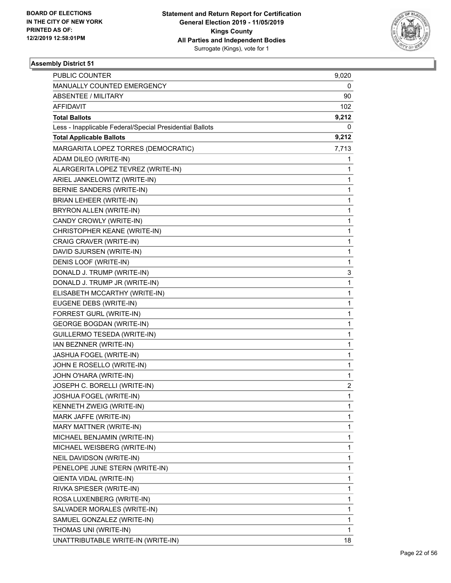

| PUBLIC COUNTER                                           | 9,020        |
|----------------------------------------------------------|--------------|
| MANUALLY COUNTED EMERGENCY                               | 0            |
| <b>ABSENTEE / MILITARY</b>                               | 90           |
| AFFIDAVIT                                                | 102          |
| <b>Total Ballots</b>                                     | 9,212        |
| Less - Inapplicable Federal/Special Presidential Ballots | 0            |
| <b>Total Applicable Ballots</b>                          | 9,212        |
| MARGARITA LOPEZ TORRES (DEMOCRATIC)                      | 7,713        |
| ADAM DILEO (WRITE-IN)                                    | 1            |
| ALARGERITA LOPEZ TEVREZ (WRITE-IN)                       | 1            |
| ARIEL JANKELOWITZ (WRITE-IN)                             | $\mathbf{1}$ |
| BERNIE SANDERS (WRITE-IN)                                | 1            |
| BRIAN LEHEER (WRITE-IN)                                  | 1            |
| BRYRON ALLEN (WRITE-IN)                                  | $\mathbf{1}$ |
| CANDY CROWLY (WRITE-IN)                                  | $\mathbf{1}$ |
| CHRISTOPHER KEANE (WRITE-IN)                             | 1            |
| CRAIG CRAVER (WRITE-IN)                                  | $\mathbf{1}$ |
| DAVID SJURSEN (WRITE-IN)                                 | 1            |
| DENIS LOOF (WRITE-IN)                                    | 1            |
| DONALD J. TRUMP (WRITE-IN)                               | 3            |
| DONALD J. TRUMP JR (WRITE-IN)                            | $\mathbf{1}$ |
| ELISABETH MCCARTHY (WRITE-IN)                            | $\mathbf{1}$ |
| EUGENE DEBS (WRITE-IN)                                   | $\mathbf{1}$ |
| FORREST GURL (WRITE-IN)                                  | 1            |
| <b>GEORGE BOGDAN (WRITE-IN)</b>                          | $\mathbf{1}$ |
| GUILLERMO TESEDA (WRITE-IN)                              | $\mathbf{1}$ |
| IAN BEZNNER (WRITE-IN)                                   | $\mathbf{1}$ |
| JASHUA FOGEL (WRITE-IN)                                  | 1            |
| JOHN E ROSELLO (WRITE-IN)                                | $\mathbf{1}$ |
| JOHN O'HARA (WRITE-IN)                                   | 1            |
| JOSEPH C. BORELLI (WRITE-IN)                             | 2            |
| JOSHUA FOGEL (WRITE-IN)                                  | 1            |
| KENNETH ZWEIG (WRITE-IN)                                 | 1            |
| MARK JAFFE (WRITE-IN)                                    | 1            |
| MARY MATTNER (WRITE-IN)                                  | $\mathbf{1}$ |
| MICHAEL BENJAMIN (WRITE-IN)                              | 1            |
| MICHAEL WEISBERG (WRITE-IN)                              | 1            |
| NEIL DAVIDSON (WRITE-IN)                                 | $\mathbf{1}$ |
| PENELOPE JUNE STERN (WRITE-IN)                           | 1            |
| QIENTA VIDAL (WRITE-IN)                                  | 1            |
| RIVKA SPIESER (WRITE-IN)                                 | $\mathbf{1}$ |
| ROSA LUXENBERG (WRITE-IN)                                | 1            |
| SALVADER MORALES (WRITE-IN)                              | 1            |
| SAMUEL GONZALEZ (WRITE-IN)                               | $\mathbf{1}$ |
| THOMAS UNI (WRITE-IN)                                    | 1            |
| UNATTRIBUTABLE WRITE-IN (WRITE-IN)                       | 18           |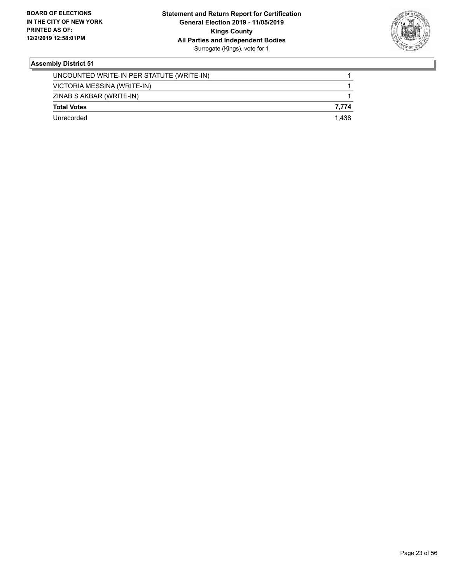

| Unrecorded                                | 1 438 |
|-------------------------------------------|-------|
| <b>Total Votes</b>                        | 7.774 |
| ZINAB S AKBAR (WRITE-IN)                  |       |
| VICTORIA MESSINA (WRITE-IN)               |       |
| UNCOUNTED WRITE-IN PER STATUTE (WRITE-IN) |       |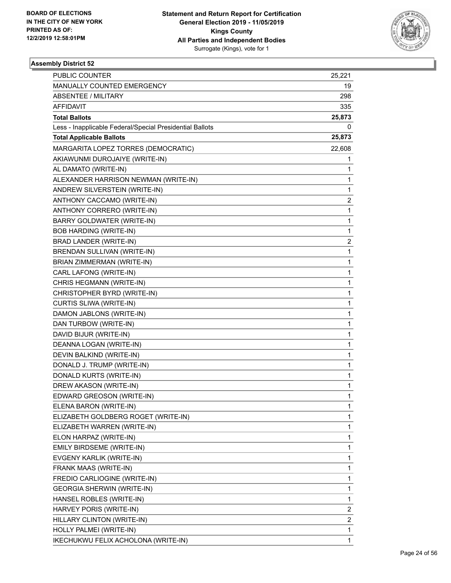

| <b>PUBLIC COUNTER</b>                                    | 25,221                  |
|----------------------------------------------------------|-------------------------|
| MANUALLY COUNTED EMERGENCY                               | 19                      |
| <b>ABSENTEE / MILITARY</b>                               | 298                     |
| <b>AFFIDAVIT</b>                                         | 335                     |
| <b>Total Ballots</b>                                     | 25,873                  |
| Less - Inapplicable Federal/Special Presidential Ballots | 0                       |
| <b>Total Applicable Ballots</b>                          | 25,873                  |
| MARGARITA LOPEZ TORRES (DEMOCRATIC)                      | 22,608                  |
| AKIAWUNMI DUROJAIYE (WRITE-IN)                           | 1                       |
| AL DAMATO (WRITE-IN)                                     | 1                       |
| ALEXANDER HARRISON NEWMAN (WRITE-IN)                     | 1                       |
| ANDREW SILVERSTEIN (WRITE-IN)                            | 1                       |
| ANTHONY CACCAMO (WRITE-IN)                               | $\overline{\mathbf{c}}$ |
| ANTHONY CORRERO (WRITE-IN)                               | 1                       |
| BARRY GOLDWATER (WRITE-IN)                               | 1                       |
| <b>BOB HARDING (WRITE-IN)</b>                            | 1                       |
| BRAD LANDER (WRITE-IN)                                   | 2                       |
| BRENDAN SULLIVAN (WRITE-IN)                              | 1                       |
| BRIAN ZIMMERMAN (WRITE-IN)                               | 1                       |
| CARL LAFONG (WRITE-IN)                                   | 1                       |
| CHRIS HEGMANN (WRITE-IN)                                 | 1                       |
| CHRISTOPHER BYRD (WRITE-IN)                              | 1                       |
| CURTIS SLIWA (WRITE-IN)                                  | 1                       |
| DAMON JABLONS (WRITE-IN)                                 | 1                       |
| DAN TURBOW (WRITE-IN)                                    | 1                       |
| DAVID BIJUR (WRITE-IN)                                   | 1                       |
| DEANNA LOGAN (WRITE-IN)                                  | 1                       |
| DEVIN BALKIND (WRITE-IN)                                 | 1                       |
| DONALD J. TRUMP (WRITE-IN)                               | 1                       |
| DONALD KURTS (WRITE-IN)                                  | 1                       |
| DREW AKASON (WRITE-IN)                                   | 1                       |
| EDWARD GREOSON (WRITE-IN)                                | 1                       |
| ELENA BARON (WRITE-IN)                                   | 1                       |
| ELIZABETH GOLDBERG ROGET (WRITE-IN)                      | 1                       |
| ELIZABETH WARREN (WRITE-IN)                              | 1                       |
| ELON HARPAZ (WRITE-IN)                                   | 1                       |
| EMILY BIRDSEME (WRITE-IN)                                | 1                       |
| EVGENY KARLIK (WRITE-IN)                                 | 1                       |
| FRANK MAAS (WRITE-IN)                                    | 1                       |
| FREDIO CARLIOGINE (WRITE-IN)                             | 1                       |
| <b>GEORGIA SHERWIN (WRITE-IN)</b>                        | 1                       |
| HANSEL ROBLES (WRITE-IN)                                 | 1                       |
| HARVEY PORIS (WRITE-IN)                                  | $\overline{\mathbf{c}}$ |
| HILLARY CLINTON (WRITE-IN)                               | $\overline{\mathbf{c}}$ |
| HOLLY PALMEI (WRITE-IN)                                  | 1                       |
| IKECHUKWU FELIX ACHOLONA (WRITE-IN)                      | $\mathbf{1}$            |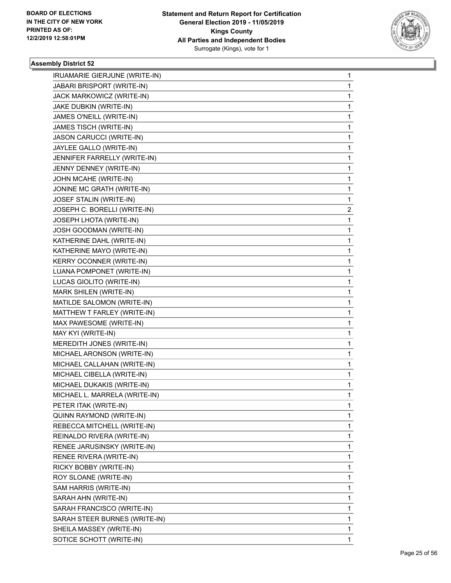

| IRUAMARIE GIERJUNE (WRITE-IN) | 1 |
|-------------------------------|---|
| JABARI BRISPORT (WRITE-IN)    | 1 |
| JACK MARKOWICZ (WRITE-IN)     | 1 |
| JAKE DUBKIN (WRITE-IN)        | 1 |
| JAMES O'NEILL (WRITE-IN)      | 1 |
| JAMES TISCH (WRITE-IN)        | 1 |
| JASON CARUCCI (WRITE-IN)      | 1 |
| JAYLEE GALLO (WRITE-IN)       | 1 |
| JENNIFER FARRELLY (WRITE-IN)  | 1 |
| JENNY DENNEY (WRITE-IN)       | 1 |
| JOHN MCAHE (WRITE-IN)         | 1 |
| JONINE MC GRATH (WRITE-IN)    | 1 |
| JOSEF STALIN (WRITE-IN)       | 1 |
| JOSEPH C. BORELLI (WRITE-IN)  | 2 |
| JOSEPH LHOTA (WRITE-IN)       | 1 |
| JOSH GOODMAN (WRITE-IN)       | 1 |
| KATHERINE DAHL (WRITE-IN)     | 1 |
| KATHERINE MAYO (WRITE-IN)     | 1 |
| KERRY OCONNER (WRITE-IN)      | 1 |
| LUANA POMPONET (WRITE-IN)     | 1 |
| LUCAS GIOLITO (WRITE-IN)      | 1 |
| MARK SHILEN (WRITE-IN)        | 1 |
| MATILDE SALOMON (WRITE-IN)    | 1 |
| MATTHEW T FARLEY (WRITE-IN)   | 1 |
| MAX PAWESOME (WRITE-IN)       | 1 |
| MAY KYI (WRITE-IN)            | 1 |
| MEREDITH JONES (WRITE-IN)     | 1 |
| MICHAEL ARONSON (WRITE-IN)    | 1 |
| MICHAEL CALLAHAN (WRITE-IN)   | 1 |
| MICHAEL CIBELLA (WRITE-IN)    | 1 |
| MICHAEL DUKAKIS (WRITE-IN)    | 1 |
| MICHAEL L. MARRELA (WRITE-IN) | 1 |
| PETER ITAK (WRITE-IN)         | 1 |
| QUINN RAYMOND (WRITE-IN)      | 1 |
| REBECCA MITCHELL (WRITE-IN)   | 1 |
| REINALDO RIVERA (WRITE-IN)    | 1 |
| RENEE JARUSINSKY (WRITE-IN)   | 1 |
| RENEE RIVERA (WRITE-IN)       | 1 |
| RICKY BOBBY (WRITE-IN)        | 1 |
| ROY SLOANE (WRITE-IN)         | 1 |
| SAM HARRIS (WRITE-IN)         | 1 |
| SARAH AHN (WRITE-IN)          | 1 |
| SARAH FRANCISCO (WRITE-IN)    | 1 |
| SARAH STEER BURNES (WRITE-IN) | 1 |
| SHEILA MASSEY (WRITE-IN)      | 1 |
| SOTICE SCHOTT (WRITE-IN)      | 1 |
|                               |   |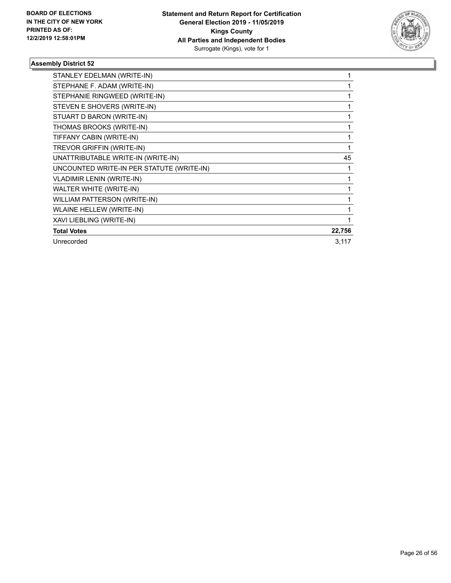

| STANLEY EDELMAN (WRITE-IN)                |        |
|-------------------------------------------|--------|
| STEPHANE F. ADAM (WRITE-IN)               |        |
| STEPHANIE RINGWEED (WRITE-IN)             |        |
| STEVEN E SHOVERS (WRITE-IN)               |        |
| STUART D BARON (WRITE-IN)                 |        |
| THOMAS BROOKS (WRITE-IN)                  |        |
| TIFFANY CABIN (WRITE-IN)                  |        |
| TREVOR GRIFFIN (WRITE-IN)                 | 1      |
| UNATTRIBUTABLE WRITE-IN (WRITE-IN)        | 45     |
| UNCOUNTED WRITE-IN PER STATUTE (WRITE-IN) |        |
| <b>VLADIMIR LENIN (WRITE-IN)</b>          |        |
| WALTER WHITE (WRITE-IN)                   |        |
| WILLIAM PATTERSON (WRITE-IN)              |        |
| <b>WLAINE HELLEW (WRITE-IN)</b>           |        |
| XAVI LIEBLING (WRITE-IN)                  |        |
| <b>Total Votes</b>                        | 22,756 |
| Unrecorded                                | 3,117  |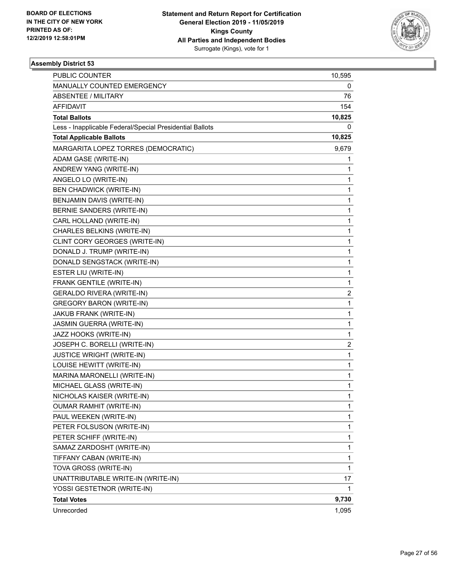

| <b>PUBLIC COUNTER</b>                                    | 10,595                  |
|----------------------------------------------------------|-------------------------|
| MANUALLY COUNTED EMERGENCY                               | 0                       |
| <b>ABSENTEE / MILITARY</b>                               | 76                      |
| AFFIDAVIT                                                | 154                     |
| <b>Total Ballots</b>                                     | 10,825                  |
| Less - Inapplicable Federal/Special Presidential Ballots | 0                       |
| <b>Total Applicable Ballots</b>                          | 10,825                  |
| MARGARITA LOPEZ TORRES (DEMOCRATIC)                      | 9,679                   |
| ADAM GASE (WRITE-IN)                                     | 1                       |
| ANDREW YANG (WRITE-IN)                                   | 1                       |
| ANGELO LO (WRITE-IN)                                     | 1                       |
| <b>BEN CHADWICK (WRITE-IN)</b>                           | 1                       |
| BENJAMIN DAVIS (WRITE-IN)                                | $\mathbf 1$             |
| BERNIE SANDERS (WRITE-IN)                                | $\mathbf{1}$            |
| CARL HOLLAND (WRITE-IN)                                  | 1                       |
| CHARLES BELKINS (WRITE-IN)                               | $\mathbf 1$             |
| CLINT CORY GEORGES (WRITE-IN)                            | 1                       |
| DONALD J. TRUMP (WRITE-IN)                               | 1                       |
| DONALD SENGSTACK (WRITE-IN)                              | $\mathbf 1$             |
| ESTER LIU (WRITE-IN)                                     | $\mathbf{1}$            |
| FRANK GENTILE (WRITE-IN)                                 | 1                       |
| <b>GERALDO RIVERA (WRITE-IN)</b>                         | 2                       |
| <b>GREGORY BARON (WRITE-IN)</b>                          | 1                       |
| JAKUB FRANK (WRITE-IN)                                   | 1                       |
| JASMIN GUERRA (WRITE-IN)                                 | $\mathbf 1$             |
| JAZZ HOOKS (WRITE-IN)                                    | $\mathbf{1}$            |
| JOSEPH C. BORELLI (WRITE-IN)                             | $\overline{\mathbf{c}}$ |
| <b>JUSTICE WRIGHT (WRITE-IN)</b>                         | $\mathbf 1$             |
| LOUISE HEWITT (WRITE-IN)                                 | 1                       |
| MARINA MARONELLI (WRITE-IN)                              | 1                       |
| MICHAEL GLASS (WRITE-IN)                                 | 1                       |
| NICHOLAS KAISER (WRITE-IN)                               | $\mathbf{1}$            |
| <b>OUMAR RAMHIT (WRITE-IN)</b>                           | 1                       |
| PAUL WEEKEN (WRITE-IN)                                   | 1                       |
| PETER FOLSUSON (WRITE-IN)                                | 1                       |
| PETER SCHIFF (WRITE-IN)                                  | 1                       |
| SAMAZ ZARDOSHT (WRITE-IN)                                | 1                       |
| TIFFANY CABAN (WRITE-IN)                                 | 1                       |
| TOVA GROSS (WRITE-IN)                                    | 1                       |
| UNATTRIBUTABLE WRITE-IN (WRITE-IN)                       | 17                      |
| YOSSI GESTETNOR (WRITE-IN)                               | 1                       |
| <b>Total Votes</b>                                       | 9,730                   |
| Unrecorded                                               | 1,095                   |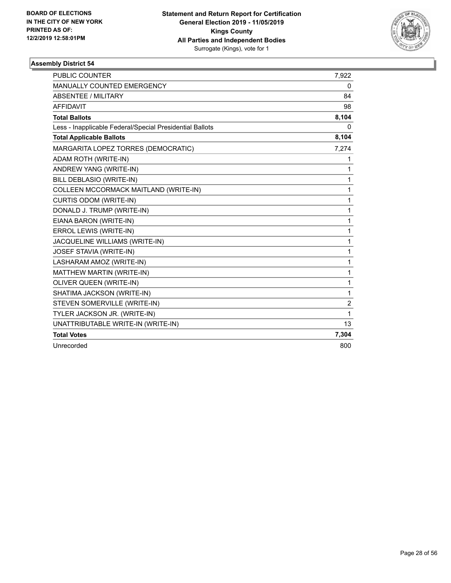

| <b>PUBLIC COUNTER</b>                                    | 7,922          |
|----------------------------------------------------------|----------------|
| <b>MANUALLY COUNTED EMERGENCY</b>                        | 0              |
| ABSENTEE / MILITARY                                      | 84             |
| <b>AFFIDAVIT</b>                                         | 98             |
| <b>Total Ballots</b>                                     | 8,104          |
| Less - Inapplicable Federal/Special Presidential Ballots | 0              |
| <b>Total Applicable Ballots</b>                          | 8,104          |
| MARGARITA LOPEZ TORRES (DEMOCRATIC)                      | 7,274          |
| ADAM ROTH (WRITE-IN)                                     | 1              |
| ANDREW YANG (WRITE-IN)                                   | 1              |
| BILL DEBLASIO (WRITE-IN)                                 | $\mathbf{1}$   |
| COLLEEN MCCORMACK MAITLAND (WRITE-IN)                    | $\mathbf{1}$   |
| CURTIS ODOM (WRITE-IN)                                   | 1              |
| DONALD J. TRUMP (WRITE-IN)                               | 1              |
| EIANA BARON (WRITE-IN)                                   | 1              |
| ERROL LEWIS (WRITE-IN)                                   | 1              |
| JACQUELINE WILLIAMS (WRITE-IN)                           | $\mathbf{1}$   |
| JOSEF STAVIA (WRITE-IN)                                  | 1              |
| LASHARAM AMOZ (WRITE-IN)                                 | $\mathbf{1}$   |
| MATTHEW MARTIN (WRITE-IN)                                | 1              |
| OLIVER QUEEN (WRITE-IN)                                  | 1              |
| SHATIMA JACKSON (WRITE-IN)                               | 1              |
| STEVEN SOMERVILLE (WRITE-IN)                             | $\overline{c}$ |
| TYLER JACKSON JR. (WRITE-IN)                             | 1              |
| UNATTRIBUTABLE WRITE-IN (WRITE-IN)                       | 13             |
| <b>Total Votes</b>                                       | 7,304          |
| Unrecorded                                               | 800            |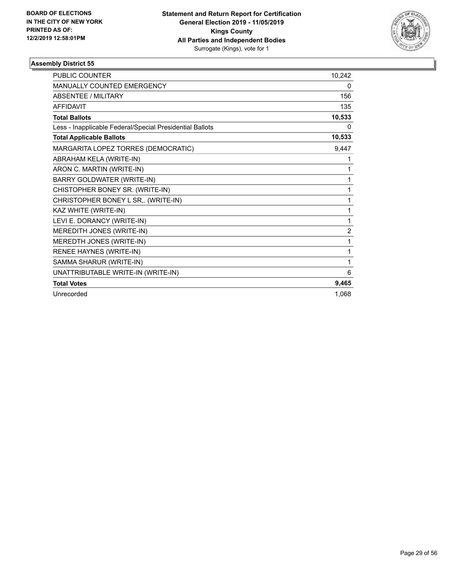

| <b>PUBLIC COUNTER</b>                                    | 10,242         |
|----------------------------------------------------------|----------------|
| MANUALLY COUNTED EMERGENCY                               | 0              |
| <b>ABSENTEE / MILITARY</b>                               | 156            |
| <b>AFFIDAVIT</b>                                         | 135            |
| <b>Total Ballots</b>                                     | 10,533         |
| Less - Inapplicable Federal/Special Presidential Ballots | 0              |
| <b>Total Applicable Ballots</b>                          | 10,533         |
| MARGARITA LOPEZ TORRES (DEMOCRATIC)                      | 9,447          |
| ABRAHAM KELA (WRITE-IN)                                  | 1              |
| ARON C. MARTIN (WRITE-IN)                                | 1              |
| BARRY GOLDWATER (WRITE-IN)                               | 1              |
| CHISTOPHER BONEY SR. (WRITE-IN)                          | 1              |
| CHRISTOPHER BONEY L SR,. (WRITE-IN)                      | 1              |
| KAZ WHITE (WRITE-IN)                                     | 1              |
| LEVI E. DORANCY (WRITE-IN)                               | 1              |
| MEREDITH JONES (WRITE-IN)                                | $\overline{2}$ |
| MEREDTH JONES (WRITE-IN)                                 | 1              |
| RENEE HAYNES (WRITE-IN)                                  | 1              |
| SAMMA SHARUR (WRITE-IN)                                  | 1              |
| UNATTRIBUTABLE WRITE-IN (WRITE-IN)                       | 6              |
| <b>Total Votes</b>                                       | 9,465          |
| Unrecorded                                               | 1,068          |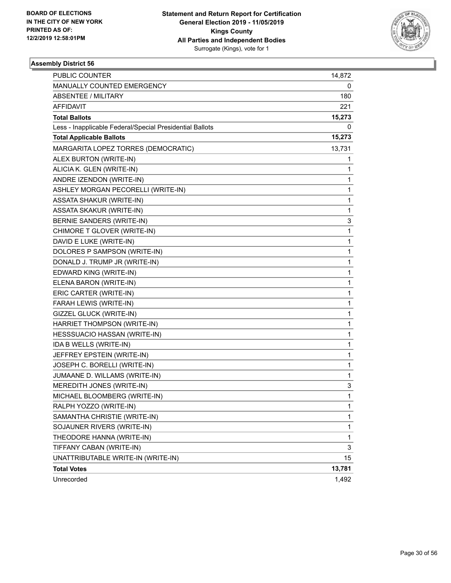

| PUBLIC COUNTER                                           | 14,872 |
|----------------------------------------------------------|--------|
| MANUALLY COUNTED EMERGENCY                               | 0      |
| ABSENTEE / MILITARY                                      | 180    |
| AFFIDAVIT                                                | 221    |
| <b>Total Ballots</b>                                     | 15,273 |
| Less - Inapplicable Federal/Special Presidential Ballots | 0      |
| <b>Total Applicable Ballots</b>                          | 15,273 |
| MARGARITA LOPEZ TORRES (DEMOCRATIC)                      | 13,731 |
| ALEX BURTON (WRITE-IN)                                   | 1      |
| ALICIA K. GLEN (WRITE-IN)                                | 1      |
| ANDRE IZENDON (WRITE-IN)                                 | 1      |
| ASHLEY MORGAN PECORELLI (WRITE-IN)                       | 1      |
| ASSATA SHAKUR (WRITE-IN)                                 | 1      |
| ASSATA SKAKUR (WRITE-IN)                                 | 1      |
| <b>BERNIE SANDERS (WRITE-IN)</b>                         | 3      |
| CHIMORE T GLOVER (WRITE-IN)                              | 1      |
| DAVID E LUKE (WRITE-IN)                                  | 1      |
| DOLORES P SAMPSON (WRITE-IN)                             | 1      |
| DONALD J. TRUMP JR (WRITE-IN)                            | 1      |
| EDWARD KING (WRITE-IN)                                   | 1      |
| ELENA BARON (WRITE-IN)                                   | 1      |
| ERIC CARTER (WRITE-IN)                                   | 1      |
| FARAH LEWIS (WRITE-IN)                                   | 1      |
| GIZZEL GLUCK (WRITE-IN)                                  | 1      |
| HARRIET THOMPSON (WRITE-IN)                              | 1      |
| HESSSUACIO HASSAN (WRITE-IN)                             | 1      |
| IDA B WELLS (WRITE-IN)                                   | 1      |
| JEFFREY EPSTEIN (WRITE-IN)                               | 1      |
| JOSEPH C. BORELLI (WRITE-IN)                             | 1      |
| JUMAANE D. WILLAMS (WRITE-IN)                            | 1      |
| MEREDITH JONES (WRITE-IN)                                | 3      |
| MICHAEL BLOOMBERG (WRITE-IN)                             | 1      |
| RALPH YOZZO (WRITE-IN)                                   | 1      |
| SAMANTHA CHRISTIE (WRITE-IN)                             | 1      |
| SOJAUNER RIVERS (WRITE-IN)                               | 1      |
| THEODORE HANNA (WRITE-IN)                                | 1      |
| TIFFANY CABAN (WRITE-IN)                                 | 3      |
| UNATTRIBUTABLE WRITE-IN (WRITE-IN)                       | 15     |
| <b>Total Votes</b>                                       | 13,781 |
| Unrecorded                                               | 1,492  |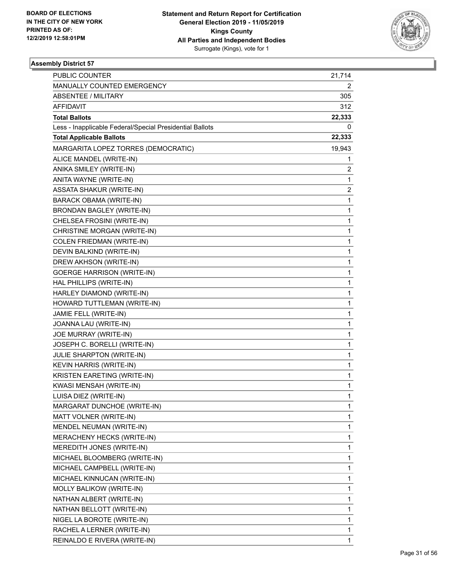

| PUBLIC COUNTER                                           | 21,714 |
|----------------------------------------------------------|--------|
| MANUALLY COUNTED EMERGENCY                               | 2      |
| ABSENTEE / MILITARY                                      | 305    |
| <b>AFFIDAVIT</b>                                         | 312    |
| <b>Total Ballots</b>                                     | 22,333 |
| Less - Inapplicable Federal/Special Presidential Ballots | 0      |
| <b>Total Applicable Ballots</b>                          | 22,333 |
| MARGARITA LOPEZ TORRES (DEMOCRATIC)                      | 19,943 |
| ALICE MANDEL (WRITE-IN)                                  | 1      |
| ANIKA SMILEY (WRITE-IN)                                  | 2      |
| ANITA WAYNE (WRITE-IN)                                   | 1      |
| ASSATA SHAKUR (WRITE-IN)                                 | 2      |
| BARACK OBAMA (WRITE-IN)                                  | 1      |
| BRONDAN BAGLEY (WRITE-IN)                                | 1      |
| CHELSEA FROSINI (WRITE-IN)                               | 1      |
| CHRISTINE MORGAN (WRITE-IN)                              | 1      |
| <b>COLEN FRIEDMAN (WRITE-IN)</b>                         | 1      |
| DEVIN BALKIND (WRITE-IN)                                 | 1      |
| DREW AKHSON (WRITE-IN)                                   | 1      |
| <b>GOERGE HARRISON (WRITE-IN)</b>                        | 1      |
| HAL PHILLIPS (WRITE-IN)                                  | 1      |
| HARLEY DIAMOND (WRITE-IN)                                | 1      |
| HOWARD TUTTLEMAN (WRITE-IN)                              | 1      |
| JAMIE FELL (WRITE-IN)                                    | 1      |
| JOANNA LAU (WRITE-IN)                                    | 1      |
| JOE MURRAY (WRITE-IN)                                    | 1      |
| JOSEPH C. BORELLI (WRITE-IN)                             | 1      |
| JULIE SHARPTON (WRITE-IN)                                | 1      |
| KEVIN HARRIS (WRITE-IN)                                  | 1      |
| KRISTEN EARETING (WRITE-IN)                              | 1      |
| KWASI MENSAH (WRITE-IN)                                  | 1      |
| LUISA DIEZ (WRITE-IN)                                    | 1      |
| MARGARAT DUNCHOE (WRITE-IN)                              | 1      |
| MATT VOLNER (WRITE-IN)                                   | 1      |
| MENDEL NEUMAN (WRITE-IN)                                 | 1      |
| MERACHENY HECKS (WRITE-IN)                               | 1      |
| MEREDITH JONES (WRITE-IN)                                | 1      |
| MICHAEL BLOOMBERG (WRITE-IN)                             | 1      |
| MICHAEL CAMPBELL (WRITE-IN)                              | 1      |
| MICHAEL KINNUCAN (WRITE-IN)                              | 1      |
| MOLLY BALIKOW (WRITE-IN)                                 | 1      |
| NATHAN ALBERT (WRITE-IN)                                 | 1      |
| NATHAN BELLOTT (WRITE-IN)                                | 1      |
| NIGEL LA BOROTE (WRITE-IN)                               | 1      |
| RACHEL A LERNER (WRITE-IN)                               | 1      |
| REINALDO E RIVERA (WRITE-IN)                             | 1      |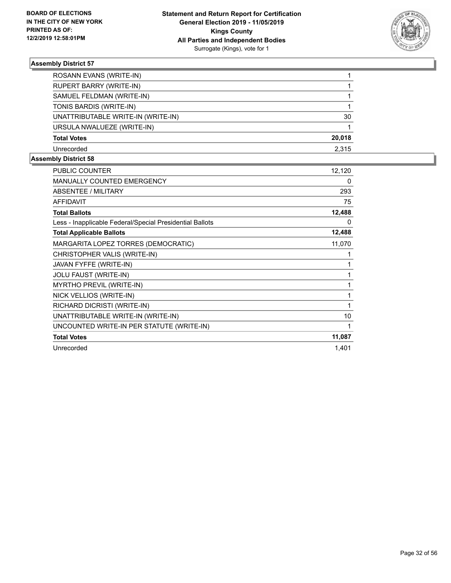

| ROSANN EVANS (WRITE-IN)            |        |
|------------------------------------|--------|
| RUPERT BARRY (WRITE-IN)            |        |
| SAMUEL FELDMAN (WRITE-IN)          |        |
| TONIS BARDIS (WRITE-IN)            |        |
| UNATTRIBUTABLE WRITE-IN (WRITE-IN) | 30     |
| URSULA NWALUEZE (WRITE-IN)         |        |
| <b>Total Votes</b>                 | 20,018 |
| Unrecorded                         | 2.315  |

| PUBLIC COUNTER                                           | 12,120 |
|----------------------------------------------------------|--------|
| <b>MANUALLY COUNTED EMERGENCY</b>                        | 0      |
| ABSENTEE / MILITARY                                      | 293    |
| <b>AFFIDAVIT</b>                                         | 75     |
| <b>Total Ballots</b>                                     | 12,488 |
| Less - Inapplicable Federal/Special Presidential Ballots | 0      |
| <b>Total Applicable Ballots</b>                          | 12,488 |
| MARGARITA LOPEZ TORRES (DEMOCRATIC)                      | 11,070 |
| CHRISTOPHER VALIS (WRITE-IN)                             |        |
| JAVAN FYFFE (WRITE-IN)                                   |        |
| JOLU FAUST (WRITE-IN)                                    | 1      |
| <b>MYRTHO PREVIL (WRITE-IN)</b>                          |        |
| NICK VELLIOS (WRITE-IN)                                  | 1      |
| RICHARD DICRISTI (WRITE-IN)                              | 1      |
| UNATTRIBUTABLE WRITE-IN (WRITE-IN)                       | 10     |
| UNCOUNTED WRITE-IN PER STATUTE (WRITE-IN)                | 1      |
| <b>Total Votes</b>                                       | 11,087 |
| Unrecorded                                               | 1,401  |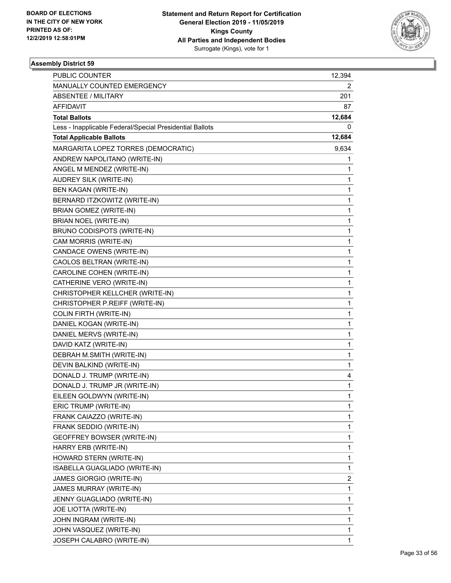

| PUBLIC COUNTER                                           | 12,394       |
|----------------------------------------------------------|--------------|
| MANUALLY COUNTED EMERGENCY                               | 2            |
| ABSENTEE / MILITARY                                      | 201          |
| <b>AFFIDAVIT</b>                                         | 87           |
| <b>Total Ballots</b>                                     | 12,684       |
| Less - Inapplicable Federal/Special Presidential Ballots | 0            |
| <b>Total Applicable Ballots</b>                          | 12,684       |
| MARGARITA LOPEZ TORRES (DEMOCRATIC)                      | 9,634        |
| ANDREW NAPOLITANO (WRITE-IN)                             | 1            |
| ANGEL M MENDEZ (WRITE-IN)                                | 1            |
| AUDREY SILK (WRITE-IN)                                   | 1            |
| <b>BEN KAGAN (WRITE-IN)</b>                              | 1            |
| BERNARD ITZKOWITZ (WRITE-IN)                             | $\mathbf{1}$ |
| <b>BRIAN GOMEZ (WRITE-IN)</b>                            | 1            |
| BRIAN NOEL (WRITE-IN)                                    | $\mathbf{1}$ |
| BRUNO CODISPOTS (WRITE-IN)                               | 1            |
| CAM MORRIS (WRITE-IN)                                    | 1            |
| CANDACE OWENS (WRITE-IN)                                 | 1            |
| CAOLOS BELTRAN (WRITE-IN)                                | $\mathbf{1}$ |
| CAROLINE COHEN (WRITE-IN)                                | 1            |
| CATHERINE VERO (WRITE-IN)                                | $\mathbf{1}$ |
| CHRISTOPHER KELLCHER (WRITE-IN)                          | 1            |
| CHRISTOPHER P.REIFF (WRITE-IN)                           | 1            |
| <b>COLIN FIRTH (WRITE-IN)</b>                            | 1            |
| DANIEL KOGAN (WRITE-IN)                                  | $\mathbf{1}$ |
| DANIEL MERVS (WRITE-IN)                                  | 1            |
| DAVID KATZ (WRITE-IN)                                    | 1            |
| DEBRAH M.SMITH (WRITE-IN)                                | 1            |
| DEVIN BALKIND (WRITE-IN)                                 | 1            |
| DONALD J. TRUMP (WRITE-IN)                               | 4            |
| DONALD J. TRUMP JR (WRITE-IN)                            | 1            |
| EILEEN GOLDWYN (WRITE-IN)                                | 1            |
| ERIC TRUMP (WRITE-IN)                                    | 1            |
| FRANK CAIAZZO (WRITE-IN)                                 | 1            |
| FRANK SEDDIO (WRITE-IN)                                  | 1            |
| GEOFFREY BOWSER (WRITE-IN)                               | 1            |
| HARRY ERB (WRITE-IN)                                     | 1            |
| HOWARD STERN (WRITE-IN)                                  | 1            |
| ISABELLA GUAGLIADO (WRITE-IN)                            | 1            |
| JAMES GIORGIO (WRITE-IN)                                 | 2            |
| JAMES MURRAY (WRITE-IN)                                  | 1            |
| JENNY GUAGLIADO (WRITE-IN)                               | 1            |
| JOE LIOTTA (WRITE-IN)                                    | 1            |
| JOHN INGRAM (WRITE-IN)                                   | 1            |
| JOHN VASQUEZ (WRITE-IN)                                  | 1            |
| JOSEPH CALABRO (WRITE-IN)                                | 1            |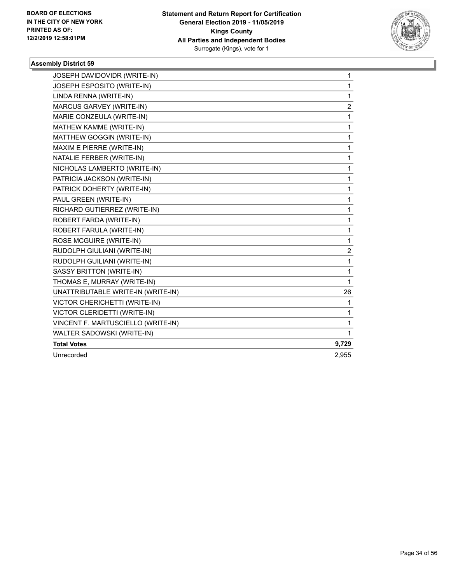

| JOSEPH DAVIDOVIDR (WRITE-IN)       | 1                       |
|------------------------------------|-------------------------|
| JOSEPH ESPOSITO (WRITE-IN)         | 1                       |
| LINDA RENNA (WRITE-IN)             | 1                       |
| MARCUS GARVEY (WRITE-IN)           | $\overline{\mathbf{c}}$ |
| MARIE CONZEULA (WRITE-IN)          | 1                       |
| MATHEW KAMME (WRITE-IN)            | 1                       |
| MATTHEW GOGGIN (WRITE-IN)          | 1                       |
| MAXIM E PIERRE (WRITE-IN)          | 1                       |
| NATALIE FERBER (WRITE-IN)          | 1                       |
| NICHOLAS LAMBERTO (WRITE-IN)       | 1                       |
| PATRICIA JACKSON (WRITE-IN)        | 1                       |
| PATRICK DOHERTY (WRITE-IN)         | 1                       |
| PAUL GREEN (WRITE-IN)              | 1                       |
| RICHARD GUTIERREZ (WRITE-IN)       | 1                       |
| ROBERT FARDA (WRITE-IN)            | 1                       |
| ROBERT FARULA (WRITE-IN)           | 1                       |
| ROSE MCGUIRE (WRITE-IN)            | 1                       |
| RUDOLPH GIULIANI (WRITE-IN)        | $\overline{c}$          |
| RUDOLPH GUILIANI (WRITE-IN)        | 1                       |
| SASSY BRITTON (WRITE-IN)           | 1                       |
| THOMAS E, MURRAY (WRITE-IN)        | 1                       |
| UNATTRIBUTABLE WRITE-IN (WRITE-IN) | 26                      |
| VICTOR CHERICHETTI (WRITE-IN)      | 1                       |
| VICTOR CLERIDETTI (WRITE-IN)       | 1                       |
| VINCENT F. MARTUSCIELLO (WRITE-IN) | 1                       |
| WALTER SADOWSKI (WRITE-IN)         | 1                       |
| <b>Total Votes</b>                 | 9,729                   |
| Unrecorded                         | 2,955                   |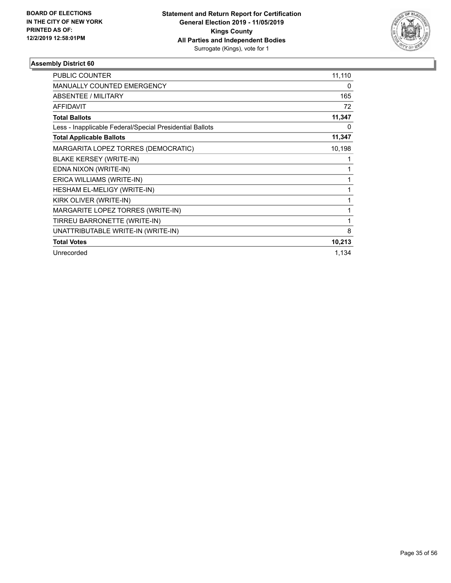

| <b>PUBLIC COUNTER</b>                                    | 11,110 |
|----------------------------------------------------------|--------|
| <b>MANUALLY COUNTED EMERGENCY</b>                        | 0      |
| <b>ABSENTEE / MILITARY</b>                               | 165    |
| <b>AFFIDAVIT</b>                                         | 72     |
| <b>Total Ballots</b>                                     | 11,347 |
| Less - Inapplicable Federal/Special Presidential Ballots | 0      |
| <b>Total Applicable Ballots</b>                          | 11,347 |
| MARGARITA LOPEZ TORRES (DEMOCRATIC)                      | 10,198 |
| <b>BLAKE KERSEY (WRITE-IN)</b>                           | 1      |
| EDNA NIXON (WRITE-IN)                                    | 1      |
| ERICA WILLIAMS (WRITE-IN)                                | 1      |
| <b>HESHAM EL-MELIGY (WRITE-IN)</b>                       | 1      |
| KIRK OLIVER (WRITE-IN)                                   | 1      |
| MARGARITE LOPEZ TORRES (WRITE-IN)                        | 1      |
| TIRREU BARRONETTE (WRITE-IN)                             | 1      |
| UNATTRIBUTABLE WRITE-IN (WRITE-IN)                       | 8      |
| <b>Total Votes</b>                                       | 10,213 |
| Unrecorded                                               | 1,134  |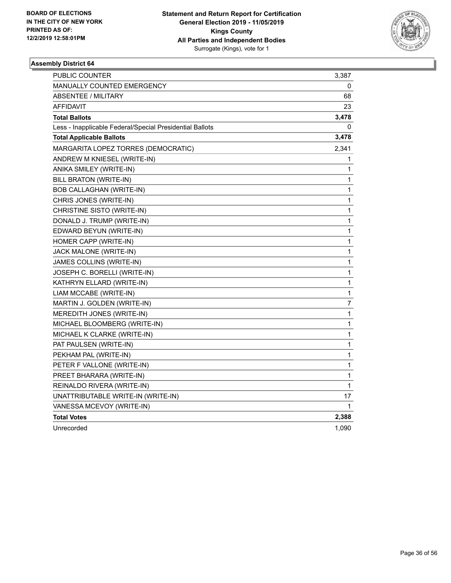

| PUBLIC COUNTER                                           | 3,387        |
|----------------------------------------------------------|--------------|
| MANUALLY COUNTED EMERGENCY                               | 0            |
| ABSENTEE / MILITARY                                      | 68           |
| AFFIDAVIT                                                | 23           |
| <b>Total Ballots</b>                                     | 3,478        |
| Less - Inapplicable Federal/Special Presidential Ballots | 0            |
| <b>Total Applicable Ballots</b>                          | 3,478        |
| MARGARITA LOPEZ TORRES (DEMOCRATIC)                      | 2,341        |
| ANDREW M KNIESEL (WRITE-IN)                              | 1            |
| ANIKA SMILEY (WRITE-IN)                                  | 1            |
| BILL BRATON (WRITE-IN)                                   | 1            |
| <b>BOB CALLAGHAN (WRITE-IN)</b>                          | 1            |
| CHRIS JONES (WRITE-IN)                                   | 1            |
| CHRISTINE SISTO (WRITE-IN)                               | 1            |
| DONALD J. TRUMP (WRITE-IN)                               | 1            |
| EDWARD BEYUN (WRITE-IN)                                  | 1            |
| HOMER CAPP (WRITE-IN)                                    | 1            |
| JACK MALONE (WRITE-IN)                                   | 1            |
| JAMES COLLINS (WRITE-IN)                                 | 1            |
| JOSEPH C. BORELLI (WRITE-IN)                             | 1            |
| KATHRYN ELLARD (WRITE-IN)                                | 1            |
| LIAM MCCABE (WRITE-IN)                                   | $\mathbf{1}$ |
| MARTIN J. GOLDEN (WRITE-IN)                              | 7            |
| MEREDITH JONES (WRITE-IN)                                | 1            |
| MICHAEL BLOOMBERG (WRITE-IN)                             | 1            |
| MICHAEL K CLARKE (WRITE-IN)                              | 1            |
| PAT PAULSEN (WRITE-IN)                                   | 1            |
| PEKHAM PAL (WRITE-IN)                                    | 1            |
| PETER F VALLONE (WRITE-IN)                               | $\mathbf{1}$ |
| PREET BHARARA (WRITE-IN)                                 | 1            |
| REINALDO RIVERA (WRITE-IN)                               | 1            |
| UNATTRIBUTABLE WRITE-IN (WRITE-IN)                       | 17           |
| VANESSA MCEVOY (WRITE-IN)                                | 1            |
| <b>Total Votes</b>                                       | 2,388        |
| Unrecorded                                               | 1,090        |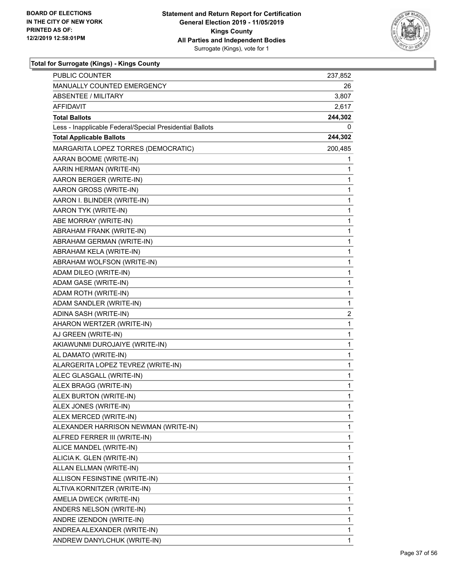

| PUBLIC COUNTER                                           | 237,852      |
|----------------------------------------------------------|--------------|
| MANUALLY COUNTED EMERGENCY                               | 26           |
| <b>ABSENTEE / MILITARY</b>                               | 3,807        |
| AFFIDAVIT                                                | 2,617        |
| <b>Total Ballots</b>                                     | 244,302      |
| Less - Inapplicable Federal/Special Presidential Ballots | 0            |
| <b>Total Applicable Ballots</b>                          | 244,302      |
| MARGARITA LOPEZ TORRES (DEMOCRATIC)                      | 200,485      |
| AARAN BOOME (WRITE-IN)                                   | 1            |
| AARIN HERMAN (WRITE-IN)                                  | 1            |
| AARON BERGER (WRITE-IN)                                  | 1            |
| AARON GROSS (WRITE-IN)                                   | 1            |
| AARON I. BLINDER (WRITE-IN)                              | 1            |
| AARON TYK (WRITE-IN)                                     | 1            |
| ABE MORRAY (WRITE-IN)                                    | 1            |
| ABRAHAM FRANK (WRITE-IN)                                 | 1            |
| ABRAHAM GERMAN (WRITE-IN)                                | 1            |
| ABRAHAM KELA (WRITE-IN)                                  | 1            |
| ABRAHAM WOLFSON (WRITE-IN)                               | 1            |
| ADAM DILEO (WRITE-IN)                                    | 1            |
| ADAM GASE (WRITE-IN)                                     | 1            |
| ADAM ROTH (WRITE-IN)                                     | 1            |
| ADAM SANDLER (WRITE-IN)                                  | 1            |
| ADINA SASH (WRITE-IN)                                    | 2            |
| AHARON WERTZER (WRITE-IN)                                | 1            |
| AJ GREEN (WRITE-IN)                                      | 1            |
| AKIAWUNMI DUROJAIYE (WRITE-IN)                           | 1            |
| AL DAMATO (WRITE-IN)                                     | 1            |
| ALARGERITA LOPEZ TEVREZ (WRITE-IN)                       | 1            |
| ALEC GLASGALL (WRITE-IN)                                 | 1            |
| ALEX BRAGG (WRITE-IN)                                    | 1            |
| ALEX BURTON (WRITE-IN)                                   | $\mathbf{1}$ |
| ALEX JONES (WRITE-IN)                                    | 1            |
| ALEX MERCED (WRITE-IN)                                   | 1            |
| ALEXANDER HARRISON NEWMAN (WRITE-IN)                     | 1            |
| ALFRED FERRER III (WRITE-IN)                             | 1            |
| ALICE MANDEL (WRITE-IN)                                  | 1            |
| ALICIA K. GLEN (WRITE-IN)                                | 1            |
| ALLAN ELLMAN (WRITE-IN)                                  | 1            |
| ALLISON FESINSTINE (WRITE-IN)                            | 1            |
| ALTIVA KORNITZER (WRITE-IN)                              | 1            |
| AMELIA DWECK (WRITE-IN)                                  | 1            |
| ANDERS NELSON (WRITE-IN)                                 | 1            |
| ANDRE IZENDON (WRITE-IN)                                 | 1            |
| ANDREA ALEXANDER (WRITE-IN)                              | 1            |
| ANDREW DANYLCHUK (WRITE-IN)                              | 1            |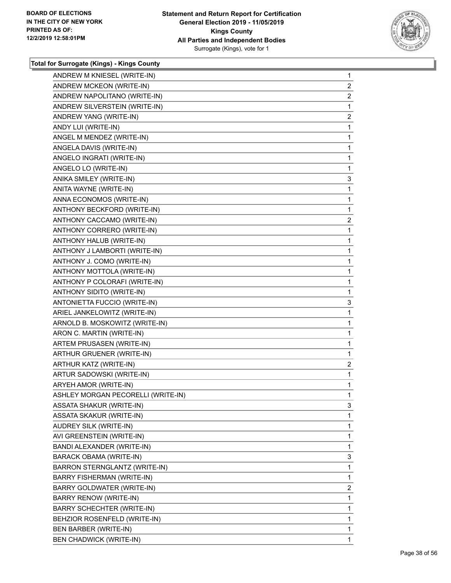

| ANDREW M KNIESEL (WRITE-IN)        | $\mathbf{1}$   |
|------------------------------------|----------------|
| ANDREW MCKEON (WRITE-IN)           | $\overline{2}$ |
| ANDREW NAPOLITANO (WRITE-IN)       | $\overline{a}$ |
| ANDREW SILVERSTEIN (WRITE-IN)      | 1              |
| ANDREW YANG (WRITE-IN)             | $\overline{2}$ |
| ANDY LUI (WRITE-IN)                | $\mathbf{1}$   |
| ANGEL M MENDEZ (WRITE-IN)          | $\mathbf{1}$   |
| ANGELA DAVIS (WRITE-IN)            | 1              |
| ANGELO INGRATI (WRITE-IN)          | $\mathbf{1}$   |
| ANGELO LO (WRITE-IN)               | 1              |
| ANIKA SMILEY (WRITE-IN)            | 3              |
| ANITA WAYNE (WRITE-IN)             | 1              |
| ANNA ECONOMOS (WRITE-IN)           | 1              |
| ANTHONY BECKFORD (WRITE-IN)        | $\mathbf{1}$   |
| ANTHONY CACCAMO (WRITE-IN)         | $\overline{c}$ |
| ANTHONY CORRERO (WRITE-IN)         | $\mathbf{1}$   |
| ANTHONY HALUB (WRITE-IN)           | $\mathbf{1}$   |
| ANTHONY J LAMBORTI (WRITE-IN)      | $\mathbf{1}$   |
| ANTHONY J. COMO (WRITE-IN)         | $\mathbf{1}$   |
| ANTHONY MOTTOLA (WRITE-IN)         | 1              |
| ANTHONY P COLORAFI (WRITE-IN)      | $\mathbf{1}$   |
| ANTHONY SIDITO (WRITE-IN)          | 1              |
| ANTONIETTA FUCCIO (WRITE-IN)       | 3              |
| ARIEL JANKELOWITZ (WRITE-IN)       | 1              |
| ARNOLD B. MOSKOWITZ (WRITE-IN)     | 1              |
| ARON C. MARTIN (WRITE-IN)          | $\mathbf{1}$   |
| ARTEM PRUSASEN (WRITE-IN)          | 1              |
| ARTHUR GRUENER (WRITE-IN)          | 1              |
| ARTHUR KATZ (WRITE-IN)             | $\overline{2}$ |
| ARTUR SADOWSKI (WRITE-IN)          | $\mathbf{1}$   |
| ARYEH AMOR (WRITE-IN)              | $\mathbf{1}$   |
| ASHLEY MORGAN PECORELLI (WRITE-IN) | 1              |
| ASSATA SHAKUR (WRITE-IN)           | 3              |
| ASSATA SKAKUR (WRITE-IN)           | 1              |
| AUDREY SILK (WRITE-IN)             | 1              |
| AVI GREENSTEIN (WRITE-IN)          | 1              |
| BANDI ALEXANDER (WRITE-IN)         | 1              |
| BARACK OBAMA (WRITE-IN)            | 3              |
| BARRON STERNGLANTZ (WRITE-IN)      | 1              |
| BARRY FISHERMAN (WRITE-IN)         | 1              |
| BARRY GOLDWATER (WRITE-IN)         | 2              |
| BARRY RENOW (WRITE-IN)             | 1              |
| <b>BARRY SCHECHTER (WRITE-IN)</b>  | 1              |
| BEHZIOR ROSENFELD (WRITE-IN)       | 1              |
| BEN BARBER (WRITE-IN)              | 1              |
| <b>BEN CHADWICK (WRITE-IN)</b>     | 1              |
|                                    |                |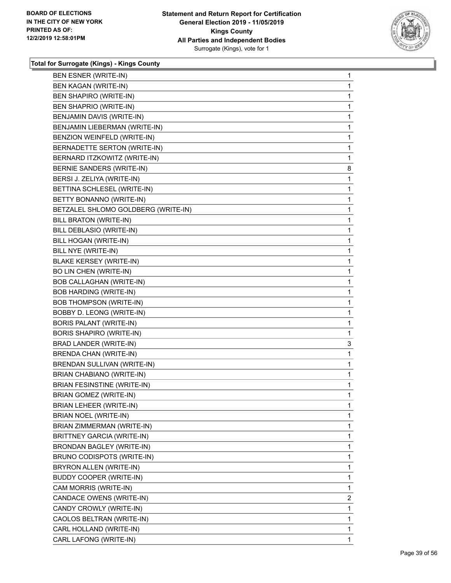

|                                     | 1            |
|-------------------------------------|--------------|
| BEN KAGAN (WRITE-IN)                |              |
| BEN SHAPIRO (WRITE-IN)              | 1            |
| BEN SHAPRIO (WRITE-IN)              | 1            |
| BENJAMIN DAVIS (WRITE-IN)           | 1            |
| BENJAMIN LIEBERMAN (WRITE-IN)       | 1            |
| BENZION WEINFELD (WRITE-IN)         | 1            |
| BERNADETTE SERTON (WRITE-IN)        | 1            |
| BERNARD ITZKOWITZ (WRITE-IN)        | 1            |
| BERNIE SANDERS (WRITE-IN)           | 8            |
| BERSI J. ZELIYA (WRITE-IN)          | 1            |
| BETTINA SCHLESEL (WRITE-IN)         | 1            |
| BETTY BONANNO (WRITE-IN)            | 1            |
| BETZALEL SHLOMO GOLDBERG (WRITE-IN) | 1            |
| BILL BRATON (WRITE-IN)              | 1            |
| BILL DEBLASIO (WRITE-IN)            | 1            |
| BILL HOGAN (WRITE-IN)               | 1            |
| BILL NYE (WRITE-IN)                 | 1            |
| <b>BLAKE KERSEY (WRITE-IN)</b>      | 1            |
| <b>BO LIN CHEN (WRITE-IN)</b>       | 1            |
| <b>BOB CALLAGHAN (WRITE-IN)</b>     | 1            |
| <b>BOB HARDING (WRITE-IN)</b>       | 1            |
| <b>BOB THOMPSON (WRITE-IN)</b>      | 1            |
| BOBBY D. LEONG (WRITE-IN)           | 1            |
| BORIS PALANT (WRITE-IN)             | 1            |
| BORIS SHAPIRO (WRITE-IN)            | $\mathbf 1$  |
| BRAD LANDER (WRITE-IN)              | 3            |
| <b>BRENDA CHAN (WRITE-IN)</b>       | 1            |
| BRENDAN SULLIVAN (WRITE-IN)         | 1            |
| BRIAN CHABIANO (WRITE-IN)           | 1            |
| <b>BRIAN FESINSTINE (WRITE-IN)</b>  | 1            |
| <b>BRIAN GOMEZ (WRITE-IN)</b>       | 1            |
| BRIAN LEHEER (WRITE-IN)             | 1            |
| BRIAN NOEL (WRITE-IN)               | 1            |
| BRIAN ZIMMERMAN (WRITE-IN)          | 1            |
| <b>BRITTNEY GARCIA (WRITE-IN)</b>   | 1            |
| BRONDAN BAGLEY (WRITE-IN)           | 1            |
| BRUNO CODISPOTS (WRITE-IN)          | 1            |
| BRYRON ALLEN (WRITE-IN)             | 1            |
| <b>BUDDY COOPER (WRITE-IN)</b>      | 1            |
| CAM MORRIS (WRITE-IN)               | 1            |
| CANDACE OWENS (WRITE-IN)            | $\mathbf{2}$ |
| CANDY CROWLY (WRITE-IN)             | 1            |
| CAOLOS BELTRAN (WRITE-IN)           | 1            |
| CARL HOLLAND (WRITE-IN)             | 1            |
| CARL LAFONG (WRITE-IN)              | $\mathbf{1}$ |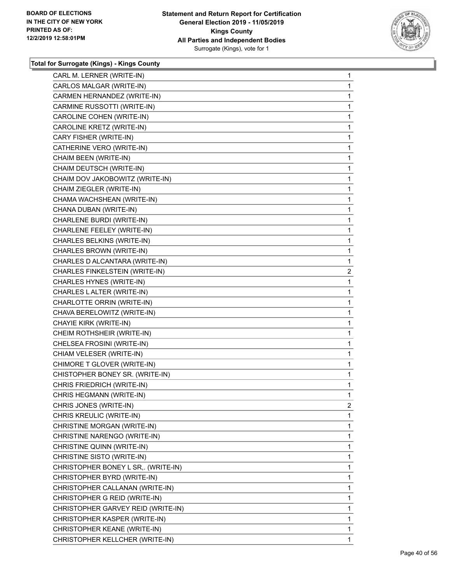

| CARL M. LERNER (WRITE-IN)           | 1              |
|-------------------------------------|----------------|
| CARLOS MALGAR (WRITE-IN)            | 1              |
| CARMEN HERNANDEZ (WRITE-IN)         | 1              |
| CARMINE RUSSOTTI (WRITE-IN)         | 1              |
| CAROLINE COHEN (WRITE-IN)           | 1              |
| CAROLINE KRETZ (WRITE-IN)           | 1              |
| CARY FISHER (WRITE-IN)              | 1              |
| CATHERINE VERO (WRITE-IN)           | 1              |
| CHAIM BEEN (WRITE-IN)               | 1              |
| CHAIM DEUTSCH (WRITE-IN)            | 1              |
| CHAIM DOV JAKOBOWITZ (WRITE-IN)     | 1              |
| CHAIM ZIEGLER (WRITE-IN)            | 1              |
| CHAMA WACHSHEAN (WRITE-IN)          | 1              |
| CHANA DUBAN (WRITE-IN)              | 1              |
| CHARLENE BURDI (WRITE-IN)           | 1              |
| CHARLENE FEELEY (WRITE-IN)          | 1              |
| CHARLES BELKINS (WRITE-IN)          | 1              |
| CHARLES BROWN (WRITE-IN)            | 1              |
| CHARLES D ALCANTARA (WRITE-IN)      | 1              |
| CHARLES FINKELSTEIN (WRITE-IN)      | 2              |
| CHARLES HYNES (WRITE-IN)            | 1              |
| CHARLES LALTER (WRITE-IN)           | 1              |
| CHARLOTTE ORRIN (WRITE-IN)          | 1              |
| CHAVA BERELOWITZ (WRITE-IN)         | 1              |
| CHAYIE KIRK (WRITE-IN)              | 1              |
| CHEIM ROTHSHEIR (WRITE-IN)          | 1              |
| CHELSEA FROSINI (WRITE-IN)          | 1              |
| CHIAM VELESER (WRITE-IN)            | 1              |
| CHIMORE T GLOVER (WRITE-IN)         | 1              |
| CHISTOPHER BONEY SR. (WRITE-IN)     | 1              |
| CHRIS FRIEDRICH (WRITE-IN)          | 1              |
| CHRIS HEGMANN (WRITE-IN)            | 1              |
| CHRIS JONES (WRITE-IN)              | $\overline{2}$ |
| CHRIS KREULIC (WRITE-IN)            | 1              |
| CHRISTINE MORGAN (WRITE-IN)         | 1              |
| CHRISTINE NARENGO (WRITE-IN)        | 1              |
| CHRISTINE QUINN (WRITE-IN)          | 1              |
| CHRISTINE SISTO (WRITE-IN)          | 1              |
| CHRISTOPHER BONEY L SR,. (WRITE-IN) | 1              |
| CHRISTOPHER BYRD (WRITE-IN)         | 1              |
| CHRISTOPHER CALLANAN (WRITE-IN)     | 1              |
| CHRISTOPHER G REID (WRITE-IN)       | 1              |
| CHRISTOPHER GARVEY REID (WRITE-IN)  | 1              |
| CHRISTOPHER KASPER (WRITE-IN)       | 1              |
| CHRISTOPHER KEANE (WRITE-IN)        | 1              |
| CHRISTOPHER KELLCHER (WRITE-IN)     | 1              |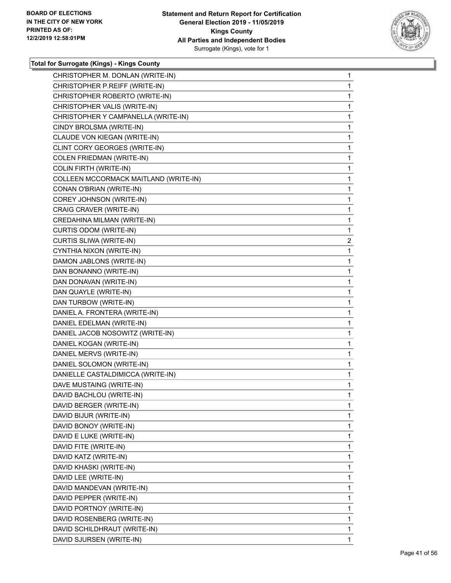

| CHRISTOPHER M. DONLAN (WRITE-IN)      | $\mathbf{1}$ |
|---------------------------------------|--------------|
| CHRISTOPHER P.REIFF (WRITE-IN)        | $\mathbf{1}$ |
| CHRISTOPHER ROBERTO (WRITE-IN)        | 1            |
| CHRISTOPHER VALIS (WRITE-IN)          | 1            |
| CHRISTOPHER Y CAMPANELLA (WRITE-IN)   | 1            |
| CINDY BROLSMA (WRITE-IN)              | 1            |
| CLAUDE VON KIEGAN (WRITE-IN)          | 1            |
| CLINT CORY GEORGES (WRITE-IN)         | 1            |
| <b>COLEN FRIEDMAN (WRITE-IN)</b>      | 1            |
| <b>COLIN FIRTH (WRITE-IN)</b>         | 1            |
| COLLEEN MCCORMACK MAITLAND (WRITE-IN) | 1            |
| CONAN O'BRIAN (WRITE-IN)              | 1            |
| COREY JOHNSON (WRITE-IN)              | 1            |
| CRAIG CRAVER (WRITE-IN)               | 1            |
| CREDAHINA MILMAN (WRITE-IN)           | 1            |
| CURTIS ODOM (WRITE-IN)                | 1            |
| CURTIS SLIWA (WRITE-IN)               | 2            |
| CYNTHIA NIXON (WRITE-IN)              | $\mathbf{1}$ |
| DAMON JABLONS (WRITE-IN)              | 1            |
| DAN BONANNO (WRITE-IN)                | 1            |
| DAN DONAVAN (WRITE-IN)                | 1            |
| DAN QUAYLE (WRITE-IN)                 | 1            |
| DAN TURBOW (WRITE-IN)                 | 1            |
| DANIEL A. FRONTERA (WRITE-IN)         | 1            |
| DANIEL EDELMAN (WRITE-IN)             | 1            |
| DANIEL JACOB NOSOWITZ (WRITE-IN)      | 1            |
| DANIEL KOGAN (WRITE-IN)               | 1            |
| DANIEL MERVS (WRITE-IN)               | 1            |
| DANIEL SOLOMON (WRITE-IN)             | $\mathbf{1}$ |
| DANIELLE CASTALDIMICCA (WRITE-IN)     | $\mathbf{1}$ |
| DAVE MUSTAING (WRITE-IN)              | $\mathbf{1}$ |
| DAVID BACHLOU (WRITE-IN)              | 1            |
| DAVID BERGER (WRITE-IN)               | 1            |
| DAVID BIJUR (WRITE-IN)                | 1            |
| DAVID BONOY (WRITE-IN)                | 1            |
| DAVID E LUKE (WRITE-IN)               | 1            |
| DAVID FITE (WRITE-IN)                 | 1            |
| DAVID KATZ (WRITE-IN)                 | 1            |
| DAVID KHASKI (WRITE-IN)               | 1            |
| DAVID LEE (WRITE-IN)                  | 1            |
| DAVID MANDEVAN (WRITE-IN)             | 1            |
| DAVID PEPPER (WRITE-IN)               | 1            |
| DAVID PORTNOY (WRITE-IN)              | 1            |
| DAVID ROSENBERG (WRITE-IN)            | 1            |
| DAVID SCHILDHRAUT (WRITE-IN)          | 1            |
| DAVID SJURSEN (WRITE-IN)              | 1            |
|                                       |              |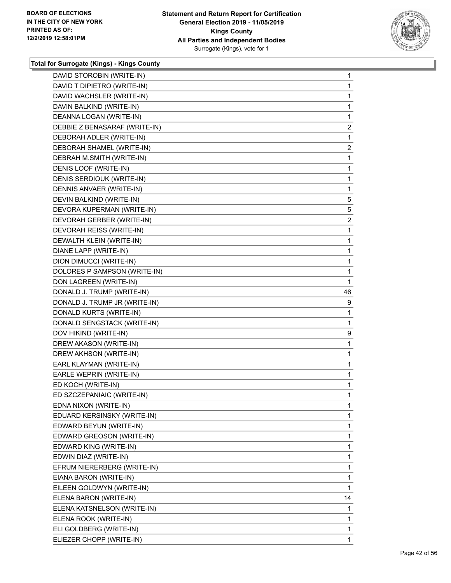

| DAVID STOROBIN (WRITE-IN)     | 1              |
|-------------------------------|----------------|
| DAVID T DIPIETRO (WRITE-IN)   | 1              |
| DAVID WACHSLER (WRITE-IN)     | 1              |
| DAVIN BALKIND (WRITE-IN)      | 1              |
| DEANNA LOGAN (WRITE-IN)       | 1              |
| DEBBIE Z BENASARAF (WRITE-IN) | $\overline{2}$ |
| DEBORAH ADLER (WRITE-IN)      | 1              |
| DEBORAH SHAMEL (WRITE-IN)     | $\overline{2}$ |
| DEBRAH M.SMITH (WRITE-IN)     | $\mathbf{1}$   |
| DENIS LOOF (WRITE-IN)         | 1              |
| DENIS SERDIOUK (WRITE-IN)     | 1              |
| DENNIS ANVAER (WRITE-IN)      | 1              |
| DEVIN BALKIND (WRITE-IN)      | 5              |
| DEVORA KUPERMAN (WRITE-IN)    | 5              |
| DEVORAH GERBER (WRITE-IN)     | $\overline{2}$ |
| DEVORAH REISS (WRITE-IN)      | 1              |
| DEWALTH KLEIN (WRITE-IN)      | 1              |
| DIANE LAPP (WRITE-IN)         | 1              |
| DION DIMUCCI (WRITE-IN)       | 1              |
| DOLORES P SAMPSON (WRITE-IN)  | 1              |
| DON LAGREEN (WRITE-IN)        | 1              |
| DONALD J. TRUMP (WRITE-IN)    | 46             |
| DONALD J. TRUMP JR (WRITE-IN) | 9              |
| DONALD KURTS (WRITE-IN)       | 1              |
| DONALD SENGSTACK (WRITE-IN)   | 1              |
| DOV HIKIND (WRITE-IN)         | 9              |
| DREW AKASON (WRITE-IN)        | 1              |
| DREW AKHSON (WRITE-IN)        | 1              |
| EARL KLAYMAN (WRITE-IN)       | 1              |
| EARLE WEPRIN (WRITE-IN)       | 1              |
| ED KOCH (WRITE-IN)            | 1              |
| ED SZCZEPANIAIC (WRITE-IN)    | 1              |
| EDNA NIXON (WRITE-IN)         | 1              |
| EDUARD KERSINSKY (WRITE-IN)   | 1              |
| EDWARD BEYUN (WRITE-IN)       | 1              |
| EDWARD GREOSON (WRITE-IN)     | 1              |
| EDWARD KING (WRITE-IN)        | 1              |
| EDWIN DIAZ (WRITE-IN)         | 1              |
| EFRUM NIERERBERG (WRITE-IN)   | 1              |
| EIANA BARON (WRITE-IN)        | 1              |
| EILEEN GOLDWYN (WRITE-IN)     | 1              |
| ELENA BARON (WRITE-IN)        | 14             |
| ELENA KATSNELSON (WRITE-IN)   | 1              |
| ELENA ROOK (WRITE-IN)         | 1              |
| ELI GOLDBERG (WRITE-IN)       | 1              |
| ELIEZER CHOPP (WRITE-IN)      | 1              |
|                               |                |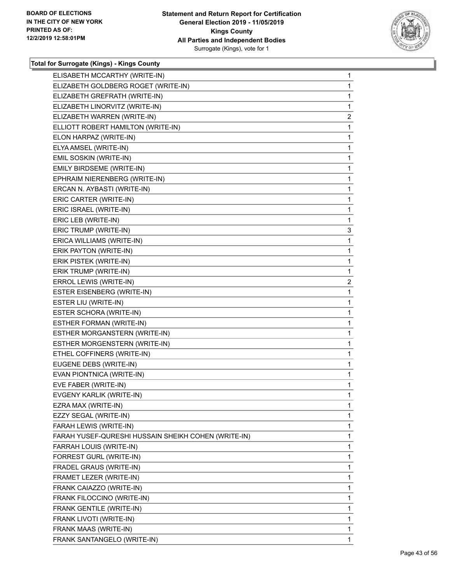

| ELISABETH MCCARTHY (WRITE-IN)                       | 1              |
|-----------------------------------------------------|----------------|
| ELIZABETH GOLDBERG ROGET (WRITE-IN)                 | 1              |
| ELIZABETH GREFRATH (WRITE-IN)                       | 1              |
| ELIZABETH LINORVITZ (WRITE-IN)                      | 1              |
| ELIZABETH WARREN (WRITE-IN)                         | $\overline{a}$ |
| ELLIOTT ROBERT HAMILTON (WRITE-IN)                  | 1              |
| ELON HARPAZ (WRITE-IN)                              | 1              |
| ELYA AMSEL (WRITE-IN)                               | 1              |
| EMIL SOSKIN (WRITE-IN)                              | 1              |
| EMILY BIRDSEME (WRITE-IN)                           | 1              |
| EPHRAIM NIERENBERG (WRITE-IN)                       | 1              |
| ERCAN N. AYBASTI (WRITE-IN)                         | 1              |
| ERIC CARTER (WRITE-IN)                              | 1              |
| ERIC ISRAEL (WRITE-IN)                              | 1              |
| ERIC LEB (WRITE-IN)                                 | 1              |
| ERIC TRUMP (WRITE-IN)                               | 3              |
| ERICA WILLIAMS (WRITE-IN)                           | 1              |
| ERIK PAYTON (WRITE-IN)                              | 1              |
| ERIK PISTEK (WRITE-IN)                              | 1              |
| ERIK TRUMP (WRITE-IN)                               | 1              |
| ERROL LEWIS (WRITE-IN)                              | $\overline{2}$ |
| ESTER EISENBERG (WRITE-IN)                          | 1              |
| ESTER LIU (WRITE-IN)                                | 1              |
| ESTER SCHORA (WRITE-IN)                             | 1              |
| ESTHER FORMAN (WRITE-IN)                            | 1              |
| ESTHER MORGANSTERN (WRITE-IN)                       | 1              |
| ESTHER MORGENSTERN (WRITE-IN)                       | 1              |
| ETHEL COFFINERS (WRITE-IN)                          | 1              |
| EUGENE DEBS (WRITE-IN)                              | 1              |
| EVAN PIONTNICA (WRITE-IN)                           | 1              |
| EVE FABER (WRITE-IN)                                | 1              |
| EVGENY KARLIK (WRITE-IN)                            | 1              |
| EZRA MAX (WRITE-IN)                                 | 1              |
| EZZY SEGAL (WRITE-IN)                               | 1              |
| FARAH LEWIS (WRITE-IN)                              | 1              |
| FARAH YUSEF-QURESHI HUSSAIN SHEIKH COHEN (WRITE-IN) | 1              |
| FARRAH LOUIS (WRITE-IN)                             | 1              |
| FORREST GURL (WRITE-IN)                             | 1              |
| FRADEL GRAUS (WRITE-IN)                             | 1              |
| FRAMET LEZER (WRITE-IN)                             | 1              |
| FRANK CAIAZZO (WRITE-IN)                            | 1              |
| FRANK FILOCCINO (WRITE-IN)                          | 1              |
| FRANK GENTILE (WRITE-IN)                            | 1              |
| FRANK LIVOTI (WRITE-IN)                             | 1              |
| FRANK MAAS (WRITE-IN)                               | 1              |
| FRANK SANTANGELO (WRITE-IN)                         | 1.             |
|                                                     |                |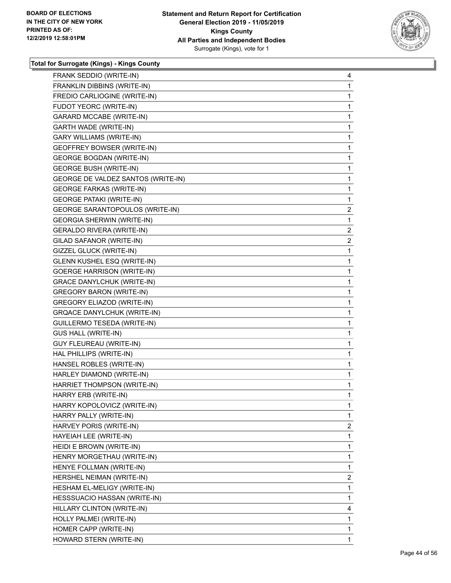

| FRANK SEDDIO (WRITE-IN)            | 4              |
|------------------------------------|----------------|
| FRANKLIN DIBBINS (WRITE-IN)        | 1              |
| FREDIO CARLIOGINE (WRITE-IN)       | 1              |
| FUDOT YEORC (WRITE-IN)             | 1              |
| <b>GARARD MCCABE (WRITE-IN)</b>    | 1              |
| GARTH WADE (WRITE-IN)              | 1              |
| <b>GARY WILLIAMS (WRITE-IN)</b>    | 1              |
| <b>GEOFFREY BOWSER (WRITE-IN)</b>  | 1              |
| <b>GEORGE BOGDAN (WRITE-IN)</b>    | 1              |
| <b>GEORGE BUSH (WRITE-IN)</b>      | 1              |
| GEORGE DE VALDEZ SANTOS (WRITE-IN) | 1              |
| <b>GEORGE FARKAS (WRITE-IN)</b>    | 1              |
| <b>GEORGE PATAKI (WRITE-IN)</b>    | 1              |
| GEORGE SARANTOPOULOS (WRITE-IN)    | $\overline{2}$ |
| <b>GEORGIA SHERWIN (WRITE-IN)</b>  | 1              |
| <b>GERALDO RIVERA (WRITE-IN)</b>   | $\overline{2}$ |
| GILAD SAFANOR (WRITE-IN)           | $\overline{c}$ |
| GIZZEL GLUCK (WRITE-IN)            | 1              |
| GLENN KUSHEL ESQ (WRITE-IN)        | 1              |
| <b>GOERGE HARRISON (WRITE-IN)</b>  | 1              |
| GRACE DANYLCHUK (WRITE-IN)         | 1              |
| <b>GREGORY BARON (WRITE-IN)</b>    | 1              |
| <b>GREGORY ELIAZOD (WRITE-IN)</b>  | 1              |
| GRQACE DANYLCHUK (WRITE-IN)        | 1              |
| GUILLERMO TESEDA (WRITE-IN)        | 1              |
| <b>GUS HALL (WRITE-IN)</b>         | 1              |
| GUY FLEUREAU (WRITE-IN)            | 1              |
| HAL PHILLIPS (WRITE-IN)            | 1              |
| HANSEL ROBLES (WRITE-IN)           | 1              |
| HARLEY DIAMOND (WRITE-IN)          | 1              |
| HARRIET THOMPSON (WRITE-IN)        | 1              |
| HARRY ERB (WRITE-IN)               | 1              |
| HARRY KOPOLOVICZ (WRITE-IN)        | 1              |
| HARRY PALLY (WRITE-IN)             | 1              |
| HARVEY PORIS (WRITE-IN)            | $\mathbf{2}$   |
| HAYEIAH LEE (WRITE-IN)             | 1              |
| HEIDI E BROWN (WRITE-IN)           | 1              |
| HENRY MORGETHAU (WRITE-IN)         | 1              |
| HENYE FOLLMAN (WRITE-IN)           | 1              |
| HERSHEL NEIMAN (WRITE-IN)          | 2              |
| HESHAM EL-MELIGY (WRITE-IN)        | 1              |
| HESSSUACIO HASSAN (WRITE-IN)       | 1              |
| HILLARY CLINTON (WRITE-IN)         | 4              |
| HOLLY PALMEI (WRITE-IN)            | 1              |
| HOMER CAPP (WRITE-IN)              | 1              |
| HOWARD STERN (WRITE-IN)            | 1              |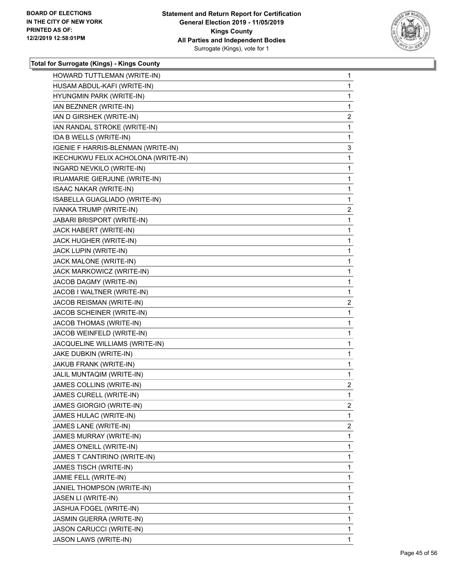

| HOWARD TUTTLEMAN (WRITE-IN)         | 1              |
|-------------------------------------|----------------|
| HUSAM ABDUL-KAFI (WRITE-IN)         | 1              |
| HYUNGMIN PARK (WRITE-IN)            | 1              |
| IAN BEZNNER (WRITE-IN)              | 1              |
| IAN D GIRSHEK (WRITE-IN)            | $\overline{c}$ |
| IAN RANDAL STROKE (WRITE-IN)        | 1              |
| IDA B WELLS (WRITE-IN)              | 1              |
| IGENIE F HARRIS-BLENMAN (WRITE-IN)  | 3              |
| IKECHUKWU FELIX ACHOLONA (WRITE-IN) | 1              |
| INGARD NEVKILO (WRITE-IN)           | 1              |
| IRUAMARIE GIERJUNE (WRITE-IN)       | 1              |
| <b>ISAAC NAKAR (WRITE-IN)</b>       | 1              |
| ISABELLA GUAGLIADO (WRITE-IN)       | 1              |
| IVANKA TRUMP (WRITE-IN)             | $\overline{c}$ |
| <b>JABARI BRISPORT (WRITE-IN)</b>   | 1              |
| JACK HABERT (WRITE-IN)              | 1              |
| JACK HUGHER (WRITE-IN)              | 1              |
| JACK LUPIN (WRITE-IN)               | 1              |
| JACK MALONE (WRITE-IN)              | 1              |
| JACK MARKOWICZ (WRITE-IN)           | 1              |
| JACOB DAGMY (WRITE-IN)              | 1              |
| JACOB I WALTNER (WRITE-IN)          | 1              |
| JACOB REISMAN (WRITE-IN)            | $\overline{2}$ |
| JACOB SCHEINER (WRITE-IN)           | 1              |
| JACOB THOMAS (WRITE-IN)             | 1              |
| JACOB WEINFELD (WRITE-IN)           | 1              |
| JACQUELINE WILLIAMS (WRITE-IN)      | 1              |
| JAKE DUBKIN (WRITE-IN)              | 1              |
| JAKUB FRANK (WRITE-IN)              | 1              |
| JALIL MUNTAQIM (WRITE-IN)           | 1              |
| JAMES COLLINS (WRITE-IN)            | $\overline{a}$ |
| JAMES CURELL (WRITE-IN)             | $\mathbf{1}$   |
| JAMES GIORGIO (WRITE-IN)            | 2              |
| JAMES HULAC (WRITE-IN)              | 1              |
| JAMES LANE (WRITE-IN)               | $\overline{2}$ |
| JAMES MURRAY (WRITE-IN)             | 1              |
| JAMES O'NEILL (WRITE-IN)            | 1              |
| JAMES T CANTIRINO (WRITE-IN)        | 1              |
| JAMES TISCH (WRITE-IN)              | 1              |
| JAMIE FELL (WRITE-IN)               | 1              |
| JANIEL THOMPSON (WRITE-IN)          | 1              |
| JASEN LI (WRITE-IN)                 | 1              |
| JASHUA FOGEL (WRITE-IN)             | 1              |
| JASMIN GUERRA (WRITE-IN)            | 1              |
| JASON CARUCCI (WRITE-IN)            | 1              |
| <b>JASON LAWS (WRITE-IN)</b>        | 1              |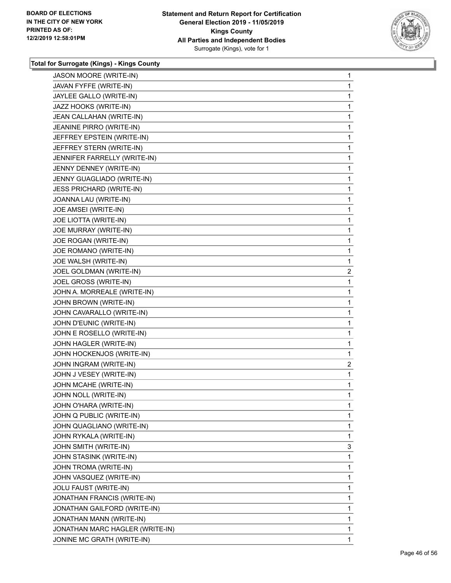

| <b>JASON MOORE (WRITE-IN)</b>   | 1              |
|---------------------------------|----------------|
| JAVAN FYFFE (WRITE-IN)          | 1              |
| JAYLEE GALLO (WRITE-IN)         | 1              |
| JAZZ HOOKS (WRITE-IN)           | 1              |
| JEAN CALLAHAN (WRITE-IN)        | 1              |
| JEANINE PIRRO (WRITE-IN)        | 1              |
| JEFFREY EPSTEIN (WRITE-IN)      | 1              |
| JEFFREY STERN (WRITE-IN)        | 1              |
| JENNIFER FARRELLY (WRITE-IN)    | 1              |
| JENNY DENNEY (WRITE-IN)         | 1              |
| JENNY GUAGLIADO (WRITE-IN)      | 1              |
| <b>JESS PRICHARD (WRITE-IN)</b> | 1              |
| JOANNA LAU (WRITE-IN)           | 1              |
| JOE AMSEI (WRITE-IN)            | 1              |
| <b>JOE LIOTTA (WRITE-IN)</b>    | 1              |
| JOE MURRAY (WRITE-IN)           | 1              |
| JOE ROGAN (WRITE-IN)            | 1              |
| JOE ROMANO (WRITE-IN)           | 1              |
| JOE WALSH (WRITE-IN)            | 1              |
| JOEL GOLDMAN (WRITE-IN)         | $\overline{c}$ |
| JOEL GROSS (WRITE-IN)           | 1              |
| JOHN A. MORREALE (WRITE-IN)     | 1              |
| JOHN BROWN (WRITE-IN)           | 1              |
| JOHN CAVARALLO (WRITE-IN)       | 1              |
| JOHN D'EUNIC (WRITE-IN)         | 1              |
| JOHN E ROSELLO (WRITE-IN)       | 1              |
| JOHN HAGLER (WRITE-IN)          | 1              |
| JOHN HOCKENJOS (WRITE-IN)       | 1              |
| JOHN INGRAM (WRITE-IN)          | $\overline{c}$ |
| JOHN J VESEY (WRITE-IN)         | 1              |
| JOHN MCAHE (WRITE-IN)           | 1              |
| JOHN NOLL (WRITE-IN)            | 1              |
| JOHN O'HARA (WRITE-IN)          | 1              |
| JOHN Q PUBLIC (WRITE-IN)        | 1              |
| JOHN QUAGLIANO (WRITE-IN)       | 1              |
| JOHN RYKALA (WRITE-IN)          | 1              |
| JOHN SMITH (WRITE-IN)           | 3              |
| JOHN STASINK (WRITE-IN)         | 1              |
| JOHN TROMA (WRITE-IN)           | 1              |
| JOHN VASQUEZ (WRITE-IN)         | 1              |
| JOLU FAUST (WRITE-IN)           | 1              |
| JONATHAN FRANCIS (WRITE-IN)     | 1              |
| JONATHAN GAILFORD (WRITE-IN)    | 1              |
| JONATHAN MANN (WRITE-IN)        | 1              |
| JONATHAN MARC HAGLER (WRITE-IN) | 1              |
| JONINE MC GRATH (WRITE-IN)      | 1              |
|                                 |                |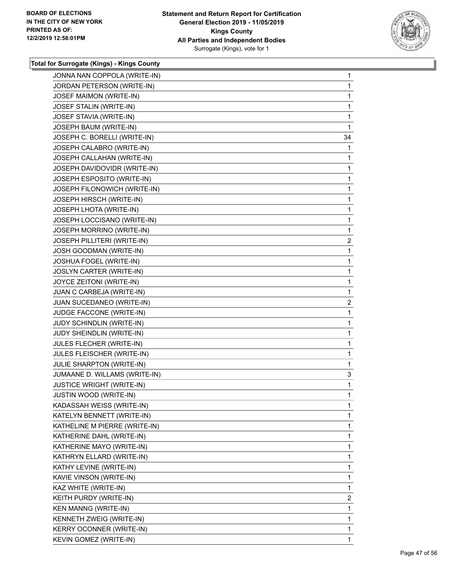

| JONNA NAN COPPOLA (WRITE-IN)     | $\mathbf{1}$   |
|----------------------------------|----------------|
| JORDAN PETERSON (WRITE-IN)       | 1              |
| JOSEF MAIMON (WRITE-IN)          | 1              |
| JOSEF STALIN (WRITE-IN)          | $\mathbf 1$    |
| JOSEF STAVIA (WRITE-IN)          | 1              |
| JOSEPH BAUM (WRITE-IN)           | 1              |
| JOSEPH C. BORELLI (WRITE-IN)     | 34             |
| JOSEPH CALABRO (WRITE-IN)        | 1              |
| JOSEPH CALLAHAN (WRITE-IN)       | 1              |
| JOSEPH DAVIDOVIDR (WRITE-IN)     | 1              |
| JOSEPH ESPOSITO (WRITE-IN)       | 1              |
| JOSEPH FILONOWICH (WRITE-IN)     | 1              |
| JOSEPH HIRSCH (WRITE-IN)         | 1              |
| JOSEPH LHOTA (WRITE-IN)          | 1              |
| JOSEPH LOCCISANO (WRITE-IN)      | 1              |
| JOSEPH MORRINO (WRITE-IN)        | 1              |
| JOSEPH PILLITERI (WRITE-IN)      | $\overline{c}$ |
| JOSH GOODMAN (WRITE-IN)          | 1              |
| JOSHUA FOGEL (WRITE-IN)          | 1              |
| JOSLYN CARTER (WRITE-IN)         | 1              |
| JOYCE ZEITONI (WRITE-IN)         | 1              |
| JUAN C CARBEJA (WRITE-IN)        | 1              |
| JUAN SUCEDANEO (WRITE-IN)        | $\overline{c}$ |
| JUDGE FACCONE (WRITE-IN)         | 1              |
| JUDY SCHINDLIN (WRITE-IN)        | 1              |
| JUDY SHEINDLIN (WRITE-IN)        | 1              |
| JULES FLECHER (WRITE-IN)         | 1              |
| JULES FLEISCHER (WRITE-IN)       | 1              |
| JULIE SHARPTON (WRITE-IN)        | 1              |
| JUMAANE D. WILLAMS (WRITE-IN)    | 3              |
| <b>JUSTICE WRIGHT (WRITE-IN)</b> | 1              |
| JUSTIN WOOD (WRITE-IN)           | 1              |
| KADASSAH WEISS (WRITE-IN)        | 1              |
| KATELYN BENNETT (WRITE-IN)       | 1              |
| KATHELINE M PIERRE (WRITE-IN)    | 1              |
| KATHERINE DAHL (WRITE-IN)        | 1              |
| KATHERINE MAYO (WRITE-IN)        | 1              |
| KATHRYN ELLARD (WRITE-IN)        | 1              |
| KATHY LEVINE (WRITE-IN)          | 1              |
| KAVIE VINSON (WRITE-IN)          | 1              |
| KAZ WHITE (WRITE-IN)             | 1              |
| KEITH PURDY (WRITE-IN)           | $\overline{2}$ |
| KEN MANNG (WRITE-IN)             | 1              |
| KENNETH ZWEIG (WRITE-IN)         | 1              |
| KERRY OCONNER (WRITE-IN)         | 1              |
| KEVIN GOMEZ (WRITE-IN)           | 1              |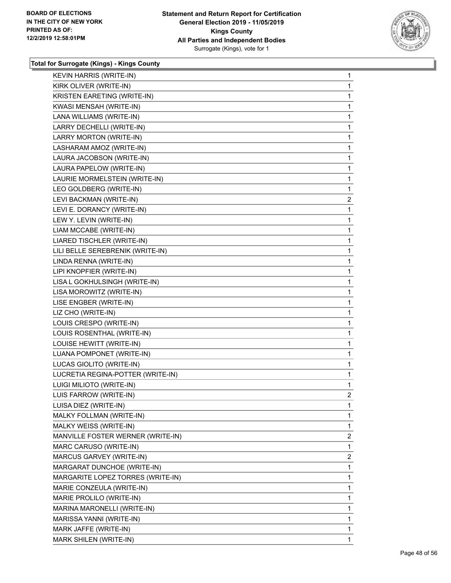

| KEVIN HARRIS (WRITE-IN)            | $\mathbf 1$    |
|------------------------------------|----------------|
| KIRK OLIVER (WRITE-IN)             | 1              |
| <b>KRISTEN EARETING (WRITE-IN)</b> | 1              |
| KWASI MENSAH (WRITE-IN)            | 1              |
| LANA WILLIAMS (WRITE-IN)           | 1              |
| LARRY DECHELLI (WRITE-IN)          | 1              |
| LARRY MORTON (WRITE-IN)            | $\mathbf{1}$   |
| LASHARAM AMOZ (WRITE-IN)           | 1              |
| LAURA JACOBSON (WRITE-IN)          | 1              |
| LAURA PAPELOW (WRITE-IN)           | 1              |
| LAURIE MORMELSTEIN (WRITE-IN)      | $\mathbf{1}$   |
| LEO GOLDBERG (WRITE-IN)            | 1              |
| LEVI BACKMAN (WRITE-IN)            | 2              |
| LEVI E. DORANCY (WRITE-IN)         | 1              |
| LEW Y. LEVIN (WRITE-IN)            | 1              |
| LIAM MCCABE (WRITE-IN)             | 1              |
| LIARED TISCHLER (WRITE-IN)         | 1              |
| LILI BELLE SEREBRENIK (WRITE-IN)   | 1              |
| LINDA RENNA (WRITE-IN)             | $\mathbf{1}$   |
| LIPI KNOPFIER (WRITE-IN)           | 1              |
| LISA L GOKHULSINGH (WRITE-IN)      | 1              |
| LISA MOROWITZ (WRITE-IN)           | 1              |
| LISE ENGBER (WRITE-IN)             | 1              |
| LIZ CHO (WRITE-IN)                 | 1              |
| LOUIS CRESPO (WRITE-IN)            | $\mathbf{1}$   |
| LOUIS ROSENTHAL (WRITE-IN)         | 1              |
| LOUISE HEWITT (WRITE-IN)           | 1              |
| LUANA POMPONET (WRITE-IN)          | 1              |
| LUCAS GIOLITO (WRITE-IN)           | 1              |
| LUCRETIA REGINA-POTTER (WRITE-IN)  | 1              |
| LUIGI MILIOTO (WRITE-IN)           | 1              |
| LUIS FARROW (WRITE-IN)             | $\overline{2}$ |
| LUISA DIEZ (WRITE-IN)              | 1              |
| MALKY FOLLMAN (WRITE-IN)           | $\mathbf{1}$   |
| MALKY WEISS (WRITE-IN)             | 1              |
| MANVILLE FOSTER WERNER (WRITE-IN)  | $\overline{2}$ |
| MARC CARUSO (WRITE-IN)             | 1              |
| MARCUS GARVEY (WRITE-IN)           | $\overline{2}$ |
| MARGARAT DUNCHOE (WRITE-IN)        | 1              |
| MARGARITE LOPEZ TORRES (WRITE-IN)  | 1              |
| MARIE CONZEULA (WRITE-IN)          | 1              |
| MARIE PROLILO (WRITE-IN)           | 1              |
| MARINA MARONELLI (WRITE-IN)        | 1              |
| MARISSA YANNI (WRITE-IN)           |                |
|                                    | 1              |
| MARK JAFFE (WRITE-IN)              | 1              |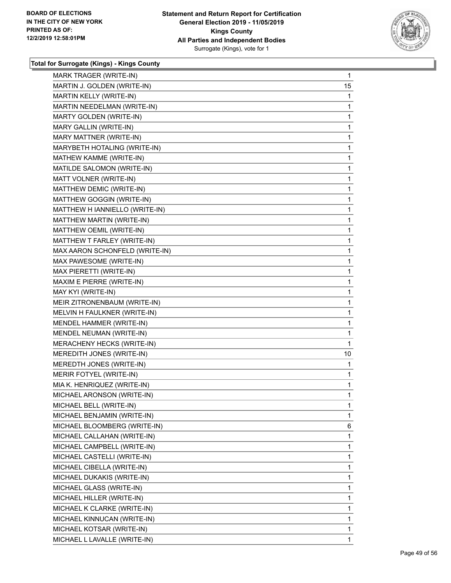

| MARK TRAGER (WRITE-IN)         | $\mathbf{1}$ |
|--------------------------------|--------------|
| MARTIN J. GOLDEN (WRITE-IN)    | 15           |
| MARTIN KELLY (WRITE-IN)        | 1            |
| MARTIN NEEDELMAN (WRITE-IN)    | 1            |
| MARTY GOLDEN (WRITE-IN)        | 1            |
| MARY GALLIN (WRITE-IN)         | 1            |
| MARY MATTNER (WRITE-IN)        | $\mathbf{1}$ |
| MARYBETH HOTALING (WRITE-IN)   | $\mathbf{1}$ |
| MATHEW KAMME (WRITE-IN)        | 1            |
| MATILDE SALOMON (WRITE-IN)     | $\mathbf 1$  |
| MATT VOLNER (WRITE-IN)         | 1            |
| MATTHEW DEMIC (WRITE-IN)       | 1            |
| MATTHEW GOGGIN (WRITE-IN)      | $\mathbf{1}$ |
| MATTHEW H IANNIELLO (WRITE-IN) | $\mathbf{1}$ |
| MATTHEW MARTIN (WRITE-IN)      | 1            |
| MATTHEW OEMIL (WRITE-IN)       | $\mathbf 1$  |
| MATTHEW T FARLEY (WRITE-IN)    | 1            |
| MAX AARON SCHONFELD (WRITE-IN) | 1            |
| MAX PAWESOME (WRITE-IN)        | $\mathbf{1}$ |
| MAX PIERETTI (WRITE-IN)        | 1            |
| MAXIM E PIERRE (WRITE-IN)      | 1            |
| MAY KYI (WRITE-IN)             | $\mathbf 1$  |
| MEIR ZITRONENBAUM (WRITE-IN)   | 1            |
| MELVIN H FAULKNER (WRITE-IN)   | 1            |
| MENDEL HAMMER (WRITE-IN)       | 1            |
| MENDEL NEUMAN (WRITE-IN)       | 1            |
| MERACHENY HECKS (WRITE-IN)     | 1            |
| MEREDITH JONES (WRITE-IN)      | 10           |
| MEREDTH JONES (WRITE-IN)       | 1            |
| MERIR FOTYEL (WRITE-IN)        | 1            |
| MIA K. HENRIQUEZ (WRITE-IN)    | $\mathbf{1}$ |
| MICHAEL ARONSON (WRITE-IN)     | 1            |
| MICHAEL BELL (WRITE-IN)        | 1            |
| MICHAEL BENJAMIN (WRITE-IN)    | 1            |
| MICHAEL BLOOMBERG (WRITE-IN)   | 6            |
| MICHAEL CALLAHAN (WRITE-IN)    | 1            |
| MICHAEL CAMPBELL (WRITE-IN)    | 1            |
| MICHAEL CASTELLI (WRITE-IN)    | 1            |
| MICHAEL CIBELLA (WRITE-IN)     | 1            |
| MICHAEL DUKAKIS (WRITE-IN)     | 1            |
| MICHAEL GLASS (WRITE-IN)       | 1            |
| MICHAEL HILLER (WRITE-IN)      | 1            |
| MICHAEL K CLARKE (WRITE-IN)    | 1            |
| MICHAEL KINNUCAN (WRITE-IN)    | 1            |
| MICHAEL KOTSAR (WRITE-IN)      | 1            |
| MICHAEL L LAVALLE (WRITE-IN)   | 1            |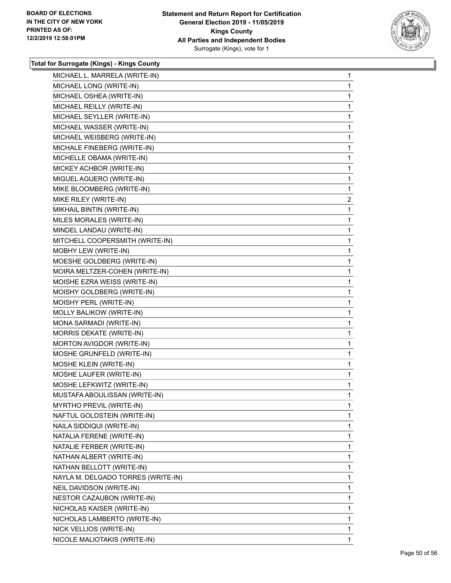

| MICHAEL L. MARRELA (WRITE-IN)      |  | 1              |
|------------------------------------|--|----------------|
| MICHAEL LONG (WRITE-IN)            |  | 1              |
| MICHAEL OSHEA (WRITE-IN)           |  | 1              |
| MICHAEL REILLY (WRITE-IN)          |  | 1              |
| MICHAEL SEYLLER (WRITE-IN)         |  | 1              |
| MICHAEL WASSER (WRITE-IN)          |  | 1              |
| MICHAEL WEISBERG (WRITE-IN)        |  | 1              |
| MICHALE FINEBERG (WRITE-IN)        |  | 1              |
| MICHELLE OBAMA (WRITE-IN)          |  | 1              |
| MICKEY ACHBOR (WRITE-IN)           |  | 1              |
| MIGUEL AGUERO (WRITE-IN)           |  | 1              |
| MIKE BLOOMBERG (WRITE-IN)          |  | 1              |
| MIKE RILEY (WRITE-IN)              |  | $\overline{2}$ |
| MIKHAIL BINTIN (WRITE-IN)          |  | 1              |
| MILES MORALES (WRITE-IN)           |  | 1              |
| MINDEL LANDAU (WRITE-IN)           |  | 1              |
| MITCHELL COOPERSMITH (WRITE-IN)    |  | 1              |
| MOBHY LEW (WRITE-IN)               |  | 1              |
| MOESHE GOLDBERG (WRITE-IN)         |  | 1              |
| MOIRA MELTZER-COHEN (WRITE-IN)     |  | 1              |
| MOISHE EZRA WEISS (WRITE-IN)       |  | 1              |
| MOISHY GOLDBERG (WRITE-IN)         |  | 1              |
| MOISHY PERL (WRITE-IN)             |  | 1              |
| MOLLY BALIKOW (WRITE-IN)           |  | 1              |
| MONA SARMADI (WRITE-IN)            |  | 1              |
| MORRIS DEKATE (WRITE-IN)           |  | 1              |
| MORTON AVIGDOR (WRITE-IN)          |  | 1              |
| MOSHE GRUNFELD (WRITE-IN)          |  | 1              |
| MOSHE KLEIN (WRITE-IN)             |  | 1              |
| MOSHE LAUFER (WRITE-IN)            |  | 1              |
| MOSHE LEFKWITZ (WRITE-IN)          |  | 1              |
| MUSTAFA ABOULISSAN (WRITE-IN)      |  | 1              |
| MYRTHO PREVIL (WRITE-IN)           |  | 1              |
| NAFTUL GOLDSTEIN (WRITE-IN)        |  | 1              |
| NAILA SIDDIQUI (WRITE-IN)          |  | 1              |
| NATALIA FERENE (WRITE-IN)          |  | 1              |
| NATALIE FERBER (WRITE-IN)          |  | 1              |
| NATHAN ALBERT (WRITE-IN)           |  | 1              |
| NATHAN BELLOTT (WRITE-IN)          |  | 1              |
| NAYLA M. DELGADO TORRES (WRITE-IN) |  | 1              |
| NEIL DAVIDSON (WRITE-IN)           |  | 1              |
| NESTOR CAZAUBON (WRITE-IN)         |  | 1              |
| NICHOLAS KAISER (WRITE-IN)         |  | 1              |
| NICHOLAS LAMBERTO (WRITE-IN)       |  | 1              |
| NICK VELLIOS (WRITE-IN)            |  | 1              |
| NICOLE MALIOTAKIS (WRITE-IN)       |  | 1              |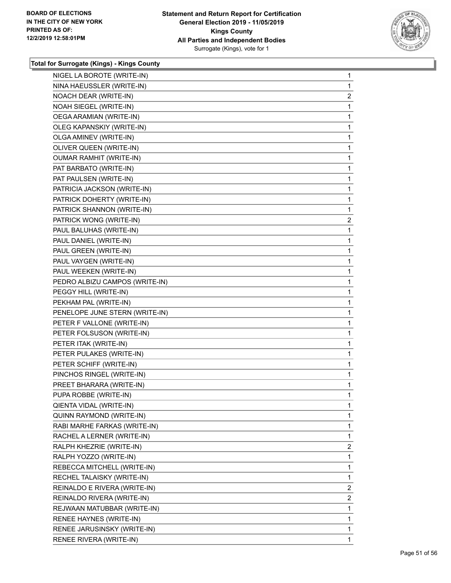

| NIGEL LA BOROTE (WRITE-IN)     | 1              |
|--------------------------------|----------------|
| NINA HAEUSSLER (WRITE-IN)      | 1              |
| NOACH DEAR (WRITE-IN)          | $\overline{2}$ |
| NOAH SIEGEL (WRITE-IN)         | 1              |
| OEGA ARAMIAN (WRITE-IN)        | 1              |
| OLEG KAPANSKIY (WRITE-IN)      | 1              |
| OLGA AMINEV (WRITE-IN)         | 1              |
| OLIVER QUEEN (WRITE-IN)        | 1              |
| <b>OUMAR RAMHIT (WRITE-IN)</b> | 1              |
| PAT BARBATO (WRITE-IN)         | 1              |
| PAT PAULSEN (WRITE-IN)         | 1              |
| PATRICIA JACKSON (WRITE-IN)    | 1              |
| PATRICK DOHERTY (WRITE-IN)     | 1              |
| PATRICK SHANNON (WRITE-IN)     | 1              |
| PATRICK WONG (WRITE-IN)        | $\overline{2}$ |
| PAUL BALUHAS (WRITE-IN)        | 1              |
| PAUL DANIEL (WRITE-IN)         | 1              |
| PAUL GREEN (WRITE-IN)          | 1              |
| PAUL VAYGEN (WRITE-IN)         | 1              |
| PAUL WEEKEN (WRITE-IN)         | 1              |
| PEDRO ALBIZU CAMPOS (WRITE-IN) | 1              |
| PEGGY HILL (WRITE-IN)          | 1              |
| PEKHAM PAL (WRITE-IN)          | 1              |
| PENELOPE JUNE STERN (WRITE-IN) | 1              |
| PETER F VALLONE (WRITE-IN)     | 1              |
| PETER FOLSUSON (WRITE-IN)      | 1              |
| PETER ITAK (WRITE-IN)          | 1              |
| PETER PULAKES (WRITE-IN)       | 1              |
| PETER SCHIFF (WRITE-IN)        | 1              |
| PINCHOS RINGEL (WRITE-IN)      | 1              |
| PREET BHARARA (WRITE-IN)       | 1              |
| PUPA ROBBE (WRITE-IN)          | 1              |
| QIENTA VIDAL (WRITE-IN)        | 1              |
| QUINN RAYMOND (WRITE-IN)       | 1              |
| RABI MARHE FARKAS (WRITE-IN)   | 1              |
| RACHEL A LERNER (WRITE-IN)     | 1              |
| RALPH KHEZRIE (WRITE-IN)       | $\overline{2}$ |
| RALPH YOZZO (WRITE-IN)         | 1              |
| REBECCA MITCHELL (WRITE-IN)    | 1              |
| RECHEL TALAISKY (WRITE-IN)     | 1              |
| REINALDO E RIVERA (WRITE-IN)   | $\overline{2}$ |
| REINALDO RIVERA (WRITE-IN)     | 2              |
| REJWAAN MATUBBAR (WRITE-IN)    | 1              |
| RENEE HAYNES (WRITE-IN)        | 1              |
| RENEE JARUSINSKY (WRITE-IN)    | 1              |
| RENEE RIVERA (WRITE-IN)        | 1.             |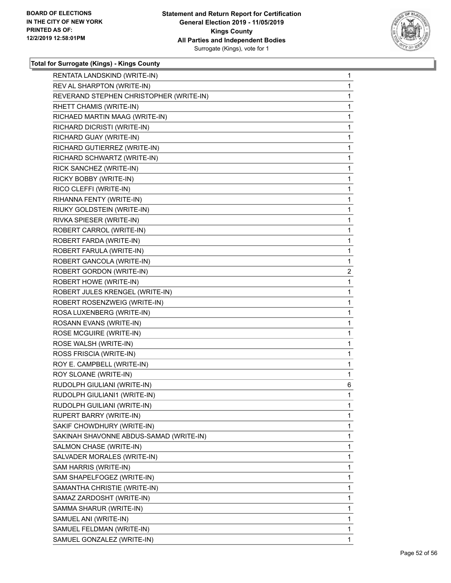

| RENTATA LANDSKIND (WRITE-IN)            | 1 |
|-----------------------------------------|---|
| REV AL SHARPTON (WRITE-IN)              | 1 |
| REVERAND STEPHEN CHRISTOPHER (WRITE-IN) | 1 |
| RHETT CHAMIS (WRITE-IN)                 | 1 |
| RICHAED MARTIN MAAG (WRITE-IN)          | 1 |
| RICHARD DICRISTI (WRITE-IN)             | 1 |
| RICHARD GUAY (WRITE-IN)                 | 1 |
| RICHARD GUTIERREZ (WRITE-IN)            | 1 |
| RICHARD SCHWARTZ (WRITE-IN)             | 1 |
| RICK SANCHEZ (WRITE-IN)                 | 1 |
| RICKY BOBBY (WRITE-IN)                  | 1 |
| RICO CLEFFI (WRITE-IN)                  | 1 |
| RIHANNA FENTY (WRITE-IN)                | 1 |
| RIUKY GOLDSTEIN (WRITE-IN)              | 1 |
| RIVKA SPIESER (WRITE-IN)                | 1 |
| ROBERT CARROL (WRITE-IN)                | 1 |
| ROBERT FARDA (WRITE-IN)                 | 1 |
| ROBERT FARULA (WRITE-IN)                | 1 |
| ROBERT GANCOLA (WRITE-IN)               | 1 |
| ROBERT GORDON (WRITE-IN)                | 2 |
| ROBERT HOWE (WRITE-IN)                  | 1 |
| ROBERT JULES KRENGEL (WRITE-IN)         | 1 |
| ROBERT ROSENZWEIG (WRITE-IN)            | 1 |
| ROSA LUXENBERG (WRITE-IN)               | 1 |
| ROSANN EVANS (WRITE-IN)                 | 1 |
| ROSE MCGUIRE (WRITE-IN)                 | 1 |
| ROSE WALSH (WRITE-IN)                   | 1 |
| ROSS FRISCIA (WRITE-IN)                 | 1 |
| ROY E. CAMPBELL (WRITE-IN)              | 1 |
| ROY SLOANE (WRITE-IN)                   | 1 |
| RUDOLPH GIULIANI (WRITE-IN)             | 6 |
| RUDOLPH GIULIANI1 (WRITE-IN)            | 1 |
| RUDOLPH GUILIANI (WRITE-IN)             | 1 |
| RUPERT BARRY (WRITE-IN)                 | 1 |
| SAKIF CHOWDHURY (WRITE-IN)              | 1 |
| SAKINAH SHAVONNE ABDUS-SAMAD (WRITE-IN) | 1 |
| SALMON CHASE (WRITE-IN)                 | 1 |
| SALVADER MORALES (WRITE-IN)             | 1 |
| SAM HARRIS (WRITE-IN)                   | 1 |
| SAM SHAPELFOGEZ (WRITE-IN)              | 1 |
| SAMANTHA CHRISTIE (WRITE-IN)            | 1 |
| SAMAZ ZARDOSHT (WRITE-IN)               | 1 |
| SAMMA SHARUR (WRITE-IN)                 | 1 |
| SAMUEL ANI (WRITE-IN)                   | 1 |
| SAMUEL FELDMAN (WRITE-IN)               | 1 |
| SAMUEL GONZALEZ (WRITE-IN)              | 1 |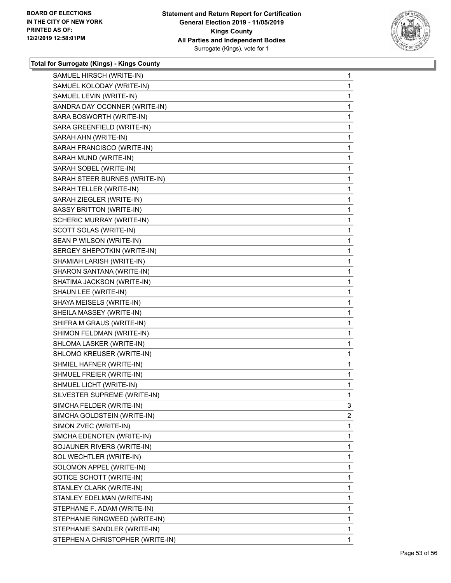

| SAMUEL HIRSCH (WRITE-IN)         | 1 |
|----------------------------------|---|
| SAMUEL KOLODAY (WRITE-IN)        | 1 |
| SAMUEL LEVIN (WRITE-IN)          | 1 |
| SANDRA DAY OCONNER (WRITE-IN)    | 1 |
| SARA BOSWORTH (WRITE-IN)         | 1 |
| SARA GREENFIELD (WRITE-IN)       | 1 |
| SARAH AHN (WRITE-IN)             | 1 |
| SARAH FRANCISCO (WRITE-IN)       | 1 |
| SARAH MUND (WRITE-IN)            | 1 |
| SARAH SOBEL (WRITE-IN)           | 1 |
| SARAH STEER BURNES (WRITE-IN)    | 1 |
| SARAH TELLER (WRITE-IN)          | 1 |
| SARAH ZIEGLER (WRITE-IN)         | 1 |
| SASSY BRITTON (WRITE-IN)         | 1 |
| SCHERIC MURRAY (WRITE-IN)        | 1 |
| SCOTT SOLAS (WRITE-IN)           | 1 |
| SEAN P WILSON (WRITE-IN)         | 1 |
| SERGEY SHEPOTKIN (WRITE-IN)      | 1 |
| SHAMIAH LARISH (WRITE-IN)        | 1 |
| SHARON SANTANA (WRITE-IN)        | 1 |
| SHATIMA JACKSON (WRITE-IN)       | 1 |
| SHAUN LEE (WRITE-IN)             | 1 |
| SHAYA MEISELS (WRITE-IN)         | 1 |
| SHEILA MASSEY (WRITE-IN)         | 1 |
| SHIFRA M GRAUS (WRITE-IN)        | 1 |
| SHIMON FELDMAN (WRITE-IN)        | 1 |
| SHLOMA LASKER (WRITE-IN)         | 1 |
| SHLOMO KREUSER (WRITE-IN)        | 1 |
| SHMIEL HAFNER (WRITE-IN)         | 1 |
| SHMUEL FREIER (WRITE-IN)         | 1 |
| SHMUEL LICHT (WRITE-IN)          | 1 |
| SILVESTER SUPREME (WRITE-IN)     | 1 |
| SIMCHA FELDER (WRITE-IN)         | 3 |
| SIMCHA GOLDSTEIN (WRITE-IN)      | 2 |
| SIMON ZVEC (WRITE-IN)            | 1 |
| SMCHA EDENOTEN (WRITE-IN)        | 1 |
| SOJAUNER RIVERS (WRITE-IN)       | 1 |
| SOL WECHTLER (WRITE-IN)          | 1 |
| SOLOMON APPEL (WRITE-IN)         | 1 |
| SOTICE SCHOTT (WRITE-IN)         | 1 |
| STANLEY CLARK (WRITE-IN)         | 1 |
| STANLEY EDELMAN (WRITE-IN)       | 1 |
| STEPHANE F. ADAM (WRITE-IN)      | 1 |
| STEPHANIE RINGWEED (WRITE-IN)    | 1 |
| STEPHANIE SANDLER (WRITE-IN)     | 1 |
| STEPHEN A CHRISTOPHER (WRITE-IN) | 1 |
|                                  |   |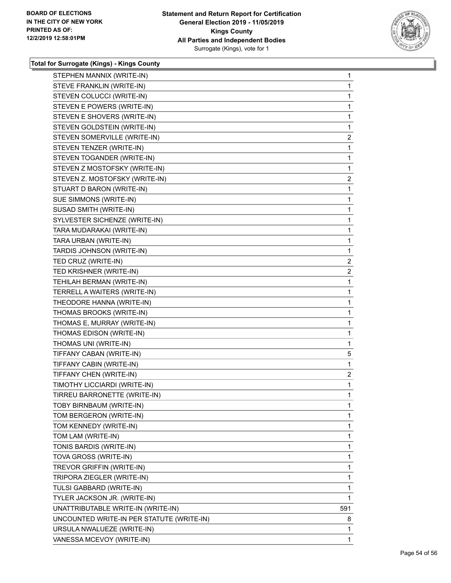

| STEPHEN MANNIX (WRITE-IN)                 | $\mathbf{1}$   |
|-------------------------------------------|----------------|
| STEVE FRANKLIN (WRITE-IN)                 | $\mathbf{1}$   |
| STEVEN COLUCCI (WRITE-IN)                 | $\mathbf{1}$   |
| STEVEN E POWERS (WRITE-IN)                | 1              |
| STEVEN E SHOVERS (WRITE-IN)               | $\mathbf{1}$   |
| STEVEN GOLDSTEIN (WRITE-IN)               | $\mathbf{1}$   |
| STEVEN SOMERVILLE (WRITE-IN)              | $\mathbf{2}$   |
| STEVEN TENZER (WRITE-IN)                  | $\mathbf{1}$   |
| STEVEN TOGANDER (WRITE-IN)                | $\mathbf{1}$   |
| STEVEN Z MOSTOFSKY (WRITE-IN)             | 1              |
| STEVEN Z. MOSTOFSKY (WRITE-IN)            | $\overline{c}$ |
| STUART D BARON (WRITE-IN)                 | $\mathbf{1}$   |
| SUE SIMMONS (WRITE-IN)                    | 1              |
| SUSAD SMITH (WRITE-IN)                    | $\mathbf{1}$   |
| SYLVESTER SICHENZE (WRITE-IN)             | $\mathbf{1}$   |
| TARA MUDARAKAI (WRITE-IN)                 | 1              |
| TARA URBAN (WRITE-IN)                     | $\mathbf{1}$   |
| TARDIS JOHNSON (WRITE-IN)                 | $\mathbf{1}$   |
| TED CRUZ (WRITE-IN)                       | 2              |
| TED KRISHNER (WRITE-IN)                   | $\overline{2}$ |
| TEHILAH BERMAN (WRITE-IN)                 | $\mathbf{1}$   |
| TERRELL A WAITERS (WRITE-IN)              | 1              |
| THEODORE HANNA (WRITE-IN)                 | 1              |
| THOMAS BROOKS (WRITE-IN)                  | $\mathbf{1}$   |
| THOMAS E, MURRAY (WRITE-IN)               | 1              |
| THOMAS EDISON (WRITE-IN)                  | $\mathbf{1}$   |
| THOMAS UNI (WRITE-IN)                     | $\mathbf{1}$   |
| TIFFANY CABAN (WRITE-IN)                  | 5              |
| TIFFANY CABIN (WRITE-IN)                  | $\mathbf{1}$   |
| TIFFANY CHEN (WRITE-IN)                   | $\overline{2}$ |
| TIMOTHY LICCIARDI (WRITE-IN)              | 1              |
| TIRREU BARRONETTE (WRITE-IN)              | $\mathbf{1}$   |
| TOBY BIRNBAUM (WRITE-IN)                  | 1              |
| TOM BERGERON (WRITE-IN)                   | 1              |
| TOM KENNEDY (WRITE-IN)                    | $\mathbf{1}$   |
| TOM LAM (WRITE-IN)                        | 1              |
| TONIS BARDIS (WRITE-IN)                   | 1              |
| TOVA GROSS (WRITE-IN)                     | $\mathbf{1}$   |
| TREVOR GRIFFIN (WRITE-IN)                 | 1              |
| TRIPORA ZIEGLER (WRITE-IN)                | 1              |
| TULSI GABBARD (WRITE-IN)                  | 1              |
| TYLER JACKSON JR. (WRITE-IN)              | 1              |
| UNATTRIBUTABLE WRITE-IN (WRITE-IN)        | 591            |
| UNCOUNTED WRITE-IN PER STATUTE (WRITE-IN) | 8              |
| URSULA NWALUEZE (WRITE-IN)                | 1              |
| VANESSA MCEVOY (WRITE-IN)                 | 1              |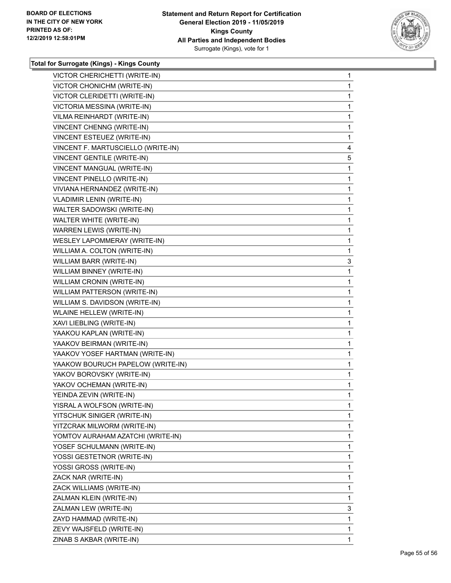

| VICTOR CHERICHETTI (WRITE-IN)      | 1            |
|------------------------------------|--------------|
| VICTOR CHONICHM (WRITE-IN)         | $\mathbf{1}$ |
| VICTOR CLERIDETTI (WRITE-IN)       | 1            |
| VICTORIA MESSINA (WRITE-IN)        | $\mathbf{1}$ |
| VILMA REINHARDT (WRITE-IN)         | 1            |
| VINCENT CHENNG (WRITE-IN)          | 1            |
| VINCENT ESTEUEZ (WRITE-IN)         | $\mathbf{1}$ |
| VINCENT F. MARTUSCIELLO (WRITE-IN) | 4            |
| VINCENT GENTILE (WRITE-IN)         | 5            |
| VINCENT MANGUAL (WRITE-IN)         | $\mathbf{1}$ |
| VINCENT PINELLO (WRITE-IN)         | 1            |
| VIVIANA HERNANDEZ (WRITE-IN)       | 1            |
| <b>VLADIMIR LENIN (WRITE-IN)</b>   | $\mathbf{1}$ |
| WALTER SADOWSKI (WRITE-IN)         | 1            |
| WALTER WHITE (WRITE-IN)            | 1            |
| WARREN LEWIS (WRITE-IN)            | $\mathbf{1}$ |
| WESLEY LAPOMMERAY (WRITE-IN)       | 1            |
| WILLIAM A. COLTON (WRITE-IN)       | 1            |
| WILLIAM BARR (WRITE-IN)            | 3            |
| WILLIAM BINNEY (WRITE-IN)          | 1            |
| WILLIAM CRONIN (WRITE-IN)          | 1            |
| WILLIAM PATTERSON (WRITE-IN)       | $\mathbf{1}$ |
| WILLIAM S. DAVIDSON (WRITE-IN)     | 1            |
| <b>WLAINE HELLEW (WRITE-IN)</b>    | 1            |
| XAVI LIEBLING (WRITE-IN)           | $\mathbf{1}$ |
| YAAKOU KAPLAN (WRITE-IN)           | 1            |
| YAAKOV BEIRMAN (WRITE-IN)          | 1            |
| YAAKOV YOSEF HARTMAN (WRITE-IN)    | $\mathbf{1}$ |
| YAAKOW BOURUCH PAPELOW (WRITE-IN)  | 1            |
| YAKOV BOROVSKY (WRITE-IN)          | 1            |
| YAKOV OCHEMAN (WRITE-IN)           | $\mathbf{1}$ |
| YEINDA ZEVIN (WRITE-IN)            | 1            |
| YISRAL A WOLFSON (WRITE-IN)        | 1            |
| YITSCHUK SINIGER (WRITE-IN)        | $\mathbf{1}$ |
| YITZCRAK MILWORM (WRITE-IN)        | 1            |
| YOMTOV AURAHAM AZATCHI (WRITE-IN)  | 1            |
| YOSEF SCHULMANN (WRITE-IN)         | $\mathbf{1}$ |
| YOSSI GESTETNOR (WRITE-IN)         | 1            |
| YOSSI GROSS (WRITE-IN)             | 1            |
| ZACK NAR (WRITE-IN)                | $\mathbf{1}$ |
| ZACK WILLIAMS (WRITE-IN)           | $\mathbf{1}$ |
| ZALMAN KLEIN (WRITE-IN)            | 1            |
| ZALMAN LEW (WRITE-IN)              | 3            |
| ZAYD HAMMAD (WRITE-IN)             | $\mathbf{1}$ |
| ZEVY WAJSFELD (WRITE-IN)           | 1            |
| ZINAB S AKBAR (WRITE-IN)           | 1            |